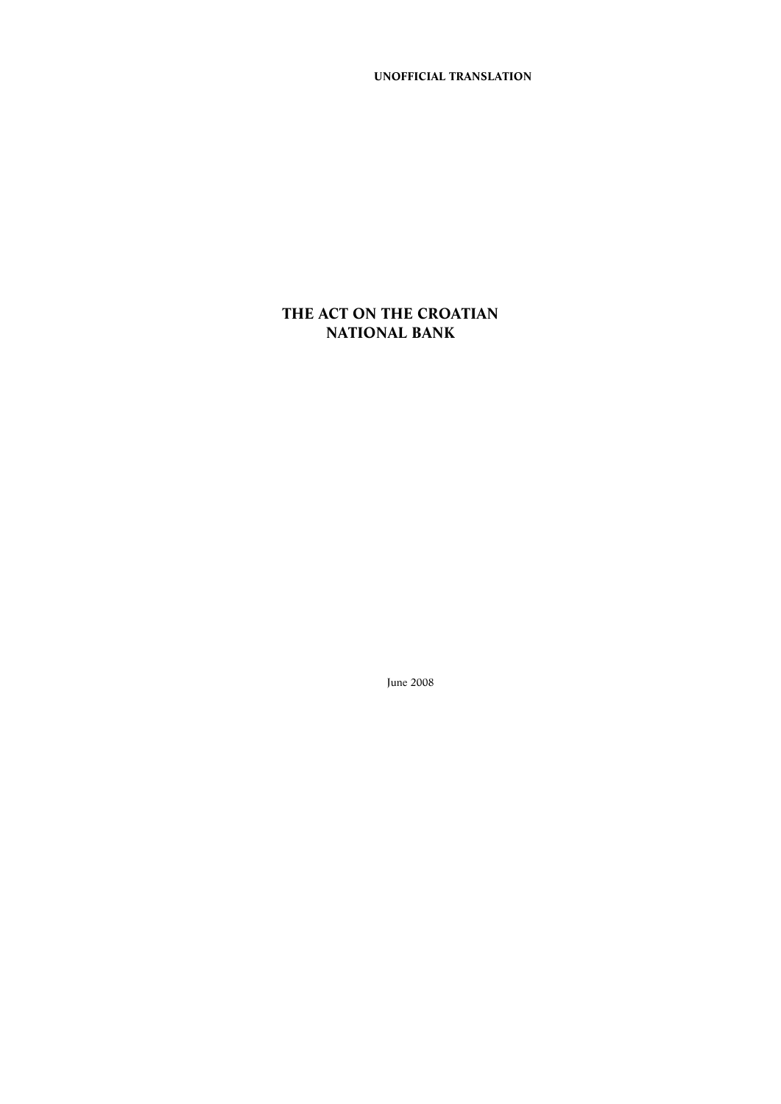**UNOFFICIAL TRANSLATION**

# **THE ACT ON THE CROATIAN NATIONAL BANK**

June 2008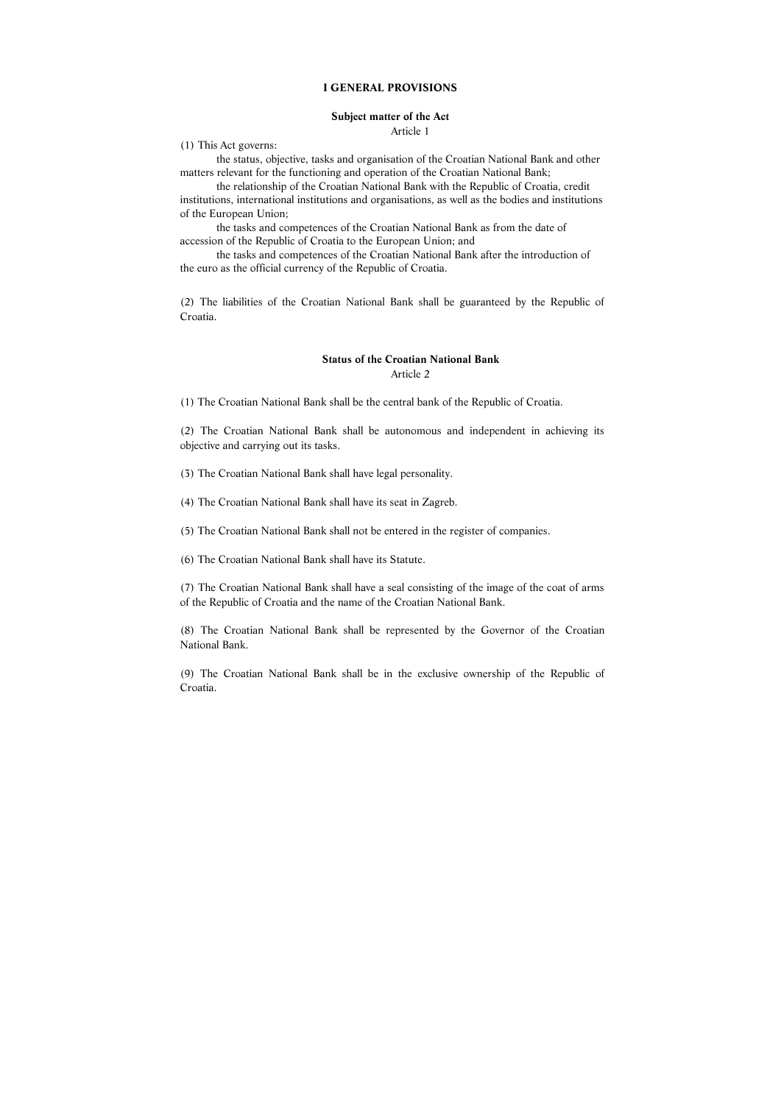#### **I GENERAL PROVISIONS**

#### **Subject matter of the Act**

Article 1

(1) This Act governs:

 the status, objective, tasks and organisation of the Croatian National Bank and other matters relevant for the functioning and operation of the Croatian National Bank;

 the relationship of the Croatian National Bank with the Republic of Croatia, credit institutions, international institutions and organisations, as well as the bodies and institutions of the European Union;

 the tasks and competences of the Croatian National Bank as from the date of accession of the Republic of Croatia to the European Union; and

 the tasks and competences of the Croatian National Bank after the introduction of the euro as the official currency of the Republic of Croatia.

(2) The liabilities of the Croatian National Bank shall be guaranteed by the Republic of Croatia.

#### **Status of the Croatian National Bank**

Article 2

(1) The Croatian National Bank shall be the central bank of the Republic of Croatia.

(2) The Croatian National Bank shall be autonomous and independent in achieving its objective and carrying out its tasks.

(3) The Croatian National Bank shall have legal personality.

(4) The Croatian National Bank shall have its seat in Zagreb.

(5) The Croatian National Bank shall not be entered in the register of companies.

(6) The Croatian National Bank shall have its Statute.

(7) The Croatian National Bank shall have a seal consisting of the image of the coat of arms of the Republic of Croatia and the name of the Croatian National Bank.

(8) The Croatian National Bank shall be represented by the Governor of the Croatian National Bank.

(9) The Croatian National Bank shall be in the exclusive ownership of the Republic of Croatia.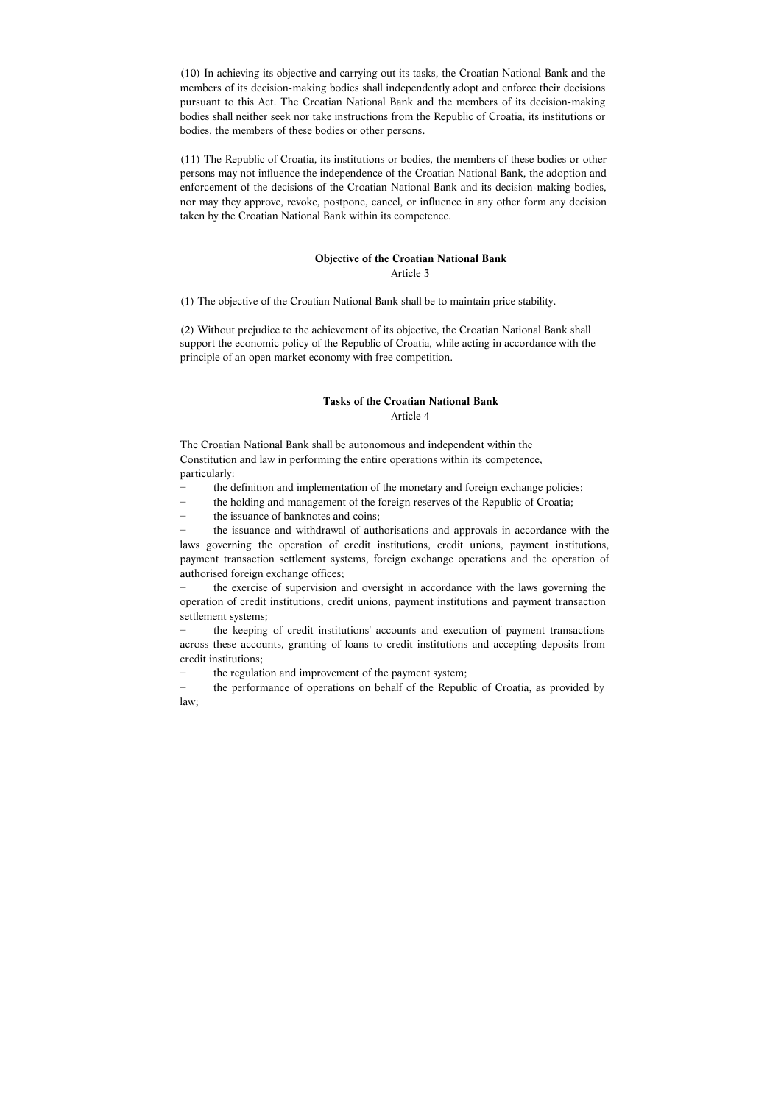(10) In achieving its objective and carrying out its tasks, the Croatian National Bank and the members of its decision-making bodies shall independently adopt and enforce their decisions pursuant to this Act. The Croatian National Bank and the members of its decision-making bodies shall neither seek nor take instructions from the Republic of Croatia, its institutions or bodies, the members of these bodies or other persons.

(11) The Republic of Croatia, its institutions or bodies, the members of these bodies or other persons may not influence the independence of the Croatian National Bank, the adoption and enforcement of the decisions of the Croatian National Bank and its decision-making bodies, nor may they approve, revoke, postpone, cancel, or influence in any other form any decision taken by the Croatian National Bank within its competence.

# **Objective of the Croatian National Bank**

Article 3

(1) The objective of the Croatian National Bank shall be to maintain price stability.

the issuance and withdrawal of authorisations and approvals in accordance with the laws governing the operation of credit institutions, credit unions, payment institutions, payment transaction settlement systems, foreign exchange operations and the operation of authorised foreign exchange offices;

(2) Without prejudice to the achievement of its objective, the Croatian National Bank shall support the economic policy of the Republic of Croatia, while acting in accordance with the principle of an open market economy with free competition.

## **Tasks of the Croatian National Bank**  Article 4

The Croatian National Bank shall be autonomous and independent within the Constitution and law in performing the entire operations within its competence, particularly:

- − the definition and implementation of the monetary and foreign exchange policies;
- − the holding and management of the foreign reserves of the Republic of Croatia;
- − the issuance of banknotes and coins;

− the exercise of supervision and oversight in accordance with the laws governing the operation of credit institutions, credit unions, payment institutions and payment transaction settlement systems;

− the keeping of credit institutions' accounts and execution of payment transactions across these accounts, granting of loans to credit institutions and accepting deposits from credit institutions;

the regulation and improvement of the payment system;

− the performance of operations on behalf of the Republic of Croatia, as provided by law;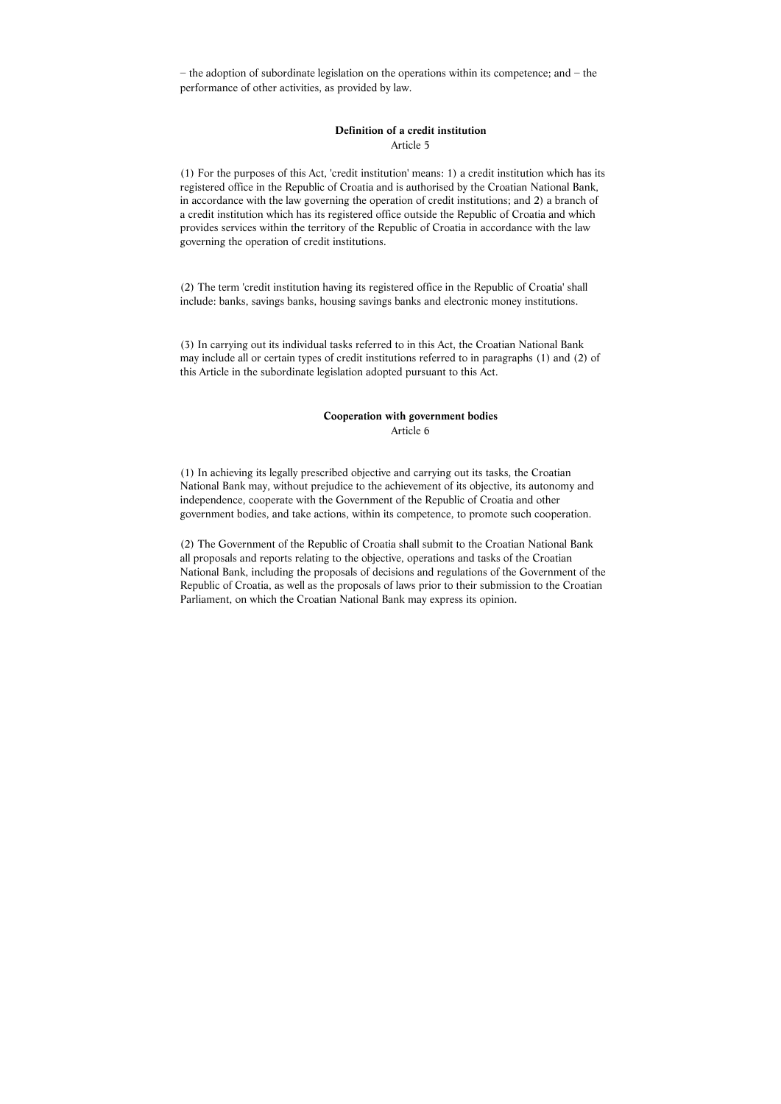− the adoption of subordinate legislation on the operations within its competence; and − the performance of other activities, as provided by law.

## **Definition of a credit institution**  Article 5

(1) For the purposes of this Act, 'credit institution' means: 1) a credit institution which has its registered office in the Republic of Croatia and is authorised by the Croatian National Bank, in accordance with the law governing the operation of credit institutions; and 2) a branch of a credit institution which has its registered office outside the Republic of Croatia and which provides services within the territory of the Republic of Croatia in accordance with the law governing the operation of credit institutions.

(2) The term 'credit institution having its registered office in the Republic of Croatia' shall include: banks, savings banks, housing savings banks and electronic money institutions.

(3) In carrying out its individual tasks referred to in this Act, the Croatian National Bank may include all or certain types of credit institutions referred to in paragraphs (1) and (2) of this Article in the subordinate legislation adopted pursuant to this Act.

#### **Cooperation with government bodies**  Article 6

(1) In achieving its legally prescribed objective and carrying out its tasks, the Croatian National Bank may, without prejudice to the achievement of its objective, its autonomy and independence, cooperate with the Government of the Republic of Croatia and other government bodies, and take actions, within its competence, to promote such cooperation.

(2) The Government of the Republic of Croatia shall submit to the Croatian National Bank all proposals and reports relating to the objective, operations and tasks of the Croatian National Bank, including the proposals of decisions and regulations of the Government of the Republic of Croatia, as well as the proposals of laws prior to their submission to the Croatian Parliament, on which the Croatian National Bank may express its opinion.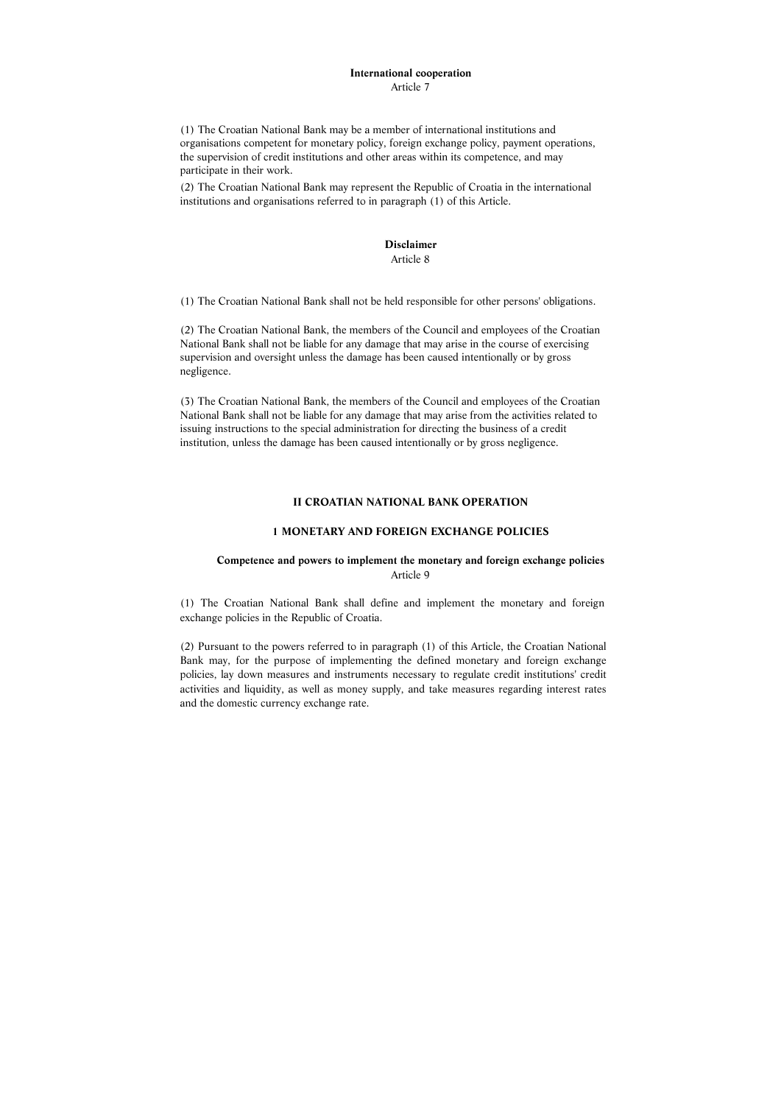#### **International cooperation**  Article 7

(1) The Croatian National Bank may be a member of international institutions and organisations competent for monetary policy, foreign exchange policy, payment operations, the supervision of credit institutions and other areas within its competence, and may participate in their work.

(2) The Croatian National Bank may represent the Republic of Croatia in the international institutions and organisations referred to in paragraph (1) of this Article.

#### **Disclaimer**  Article 8

(1) The Croatian National Bank shall not be held responsible for other persons' obligations.

(2) The Croatian National Bank, the members of the Council and employees of the Croatian National Bank shall not be liable for any damage that may arise in the course of exercising supervision and oversight unless the damage has been caused intentionally or by gross negligence.

(3) The Croatian National Bank, the members of the Council and employees of the Croatian National Bank shall not be liable for any damage that may arise from the activities related to issuing instructions to the special administration for directing the business of a credit institution, unless the damage has been caused intentionally or by gross negligence.

#### **II CROATIAN NATIONAL BANK OPERATION**

#### **1 MONETARY AND FOREIGN EXCHANGE POLICIES**

# **Competence and powers to implement the monetary and foreign exchange policies**  Article 9

(1) The Croatian National Bank shall define and implement the monetary and foreign exchange policies in the Republic of Croatia.

(2) Pursuant to the powers referred to in paragraph (1) of this Article, the Croatian National Bank may, for the purpose of implementing the defined monetary and foreign exchange policies, lay down measures and instruments necessary to regulate credit institutions' credit activities and liquidity, as well as money supply, and take measures regarding interest rates and the domestic currency exchange rate.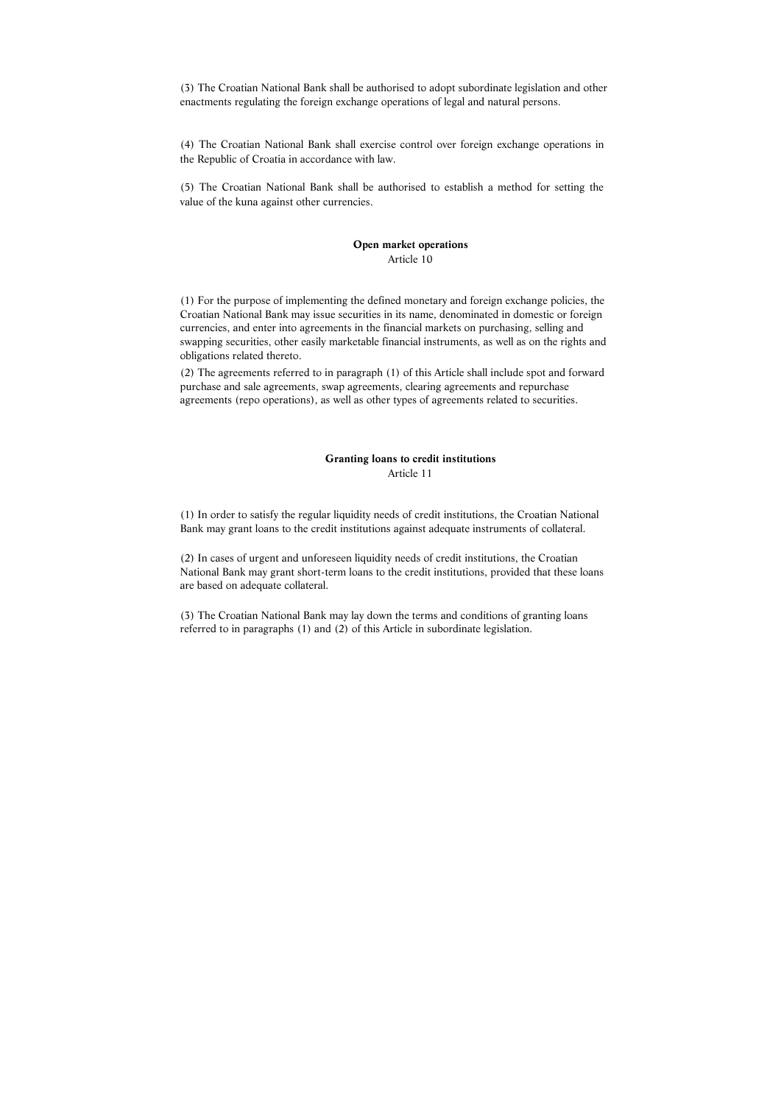(3) The Croatian National Bank shall be authorised to adopt subordinate legislation and other enactments regulating the foreign exchange operations of legal and natural persons.

(4) The Croatian National Bank shall exercise control over foreign exchange operations in the Republic of Croatia in accordance with law.

(5) The Croatian National Bank shall be authorised to establish a method for setting the value of the kuna against other currencies.

## **Open market operations**  Article 10

(1) For the purpose of implementing the defined monetary and foreign exchange policies, the Croatian National Bank may issue securities in its name, denominated in domestic or foreign currencies, and enter into agreements in the financial markets on purchasing, selling and swapping securities, other easily marketable financial instruments, as well as on the rights and obligations related thereto.

(2) The agreements referred to in paragraph (1) of this Article shall include spot and forward purchase and sale agreements, swap agreements, clearing agreements and repurchase agreements (repo operations), as well as other types of agreements related to securities.

#### **Granting loans to credit institutions**  Article 11

(1) In order to satisfy the regular liquidity needs of credit institutions, the Croatian National Bank may grant loans to the credit institutions against adequate instruments of collateral.

(2) In cases of urgent and unforeseen liquidity needs of credit institutions, the Croatian National Bank may grant short-term loans to the credit institutions, provided that these loans are based on adequate collateral.

(3) The Croatian National Bank may lay down the terms and conditions of granting loans referred to in paragraphs (1) and (2) of this Article in subordinate legislation.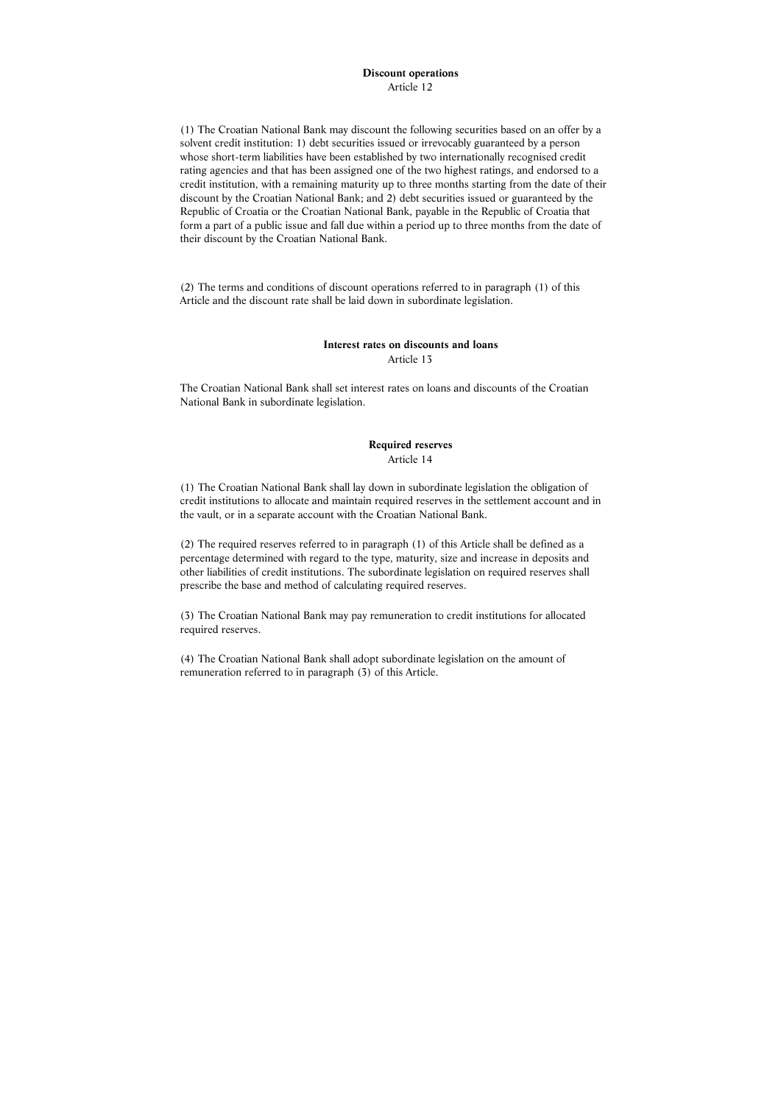# **Discount operations**

Article 12

(1) The Croatian National Bank may discount the following securities based on an offer by a solvent credit institution: 1) debt securities issued or irrevocably guaranteed by a person whose short-term liabilities have been established by two internationally recognised credit rating agencies and that has been assigned one of the two highest ratings, and endorsed to a credit institution, with a remaining maturity up to three months starting from the date of their discount by the Croatian National Bank; and 2) debt securities issued or guaranteed by the Republic of Croatia or the Croatian National Bank, payable in the Republic of Croatia that form a part of a public issue and fall due within a period up to three months from the date of their discount by the Croatian National Bank.

(2) The terms and conditions of discount operations referred to in paragraph (1) of this Article and the discount rate shall be laid down in subordinate legislation.

# **Interest rates on discounts and loans**

Article 13

The Croatian National Bank shall set interest rates on loans and discounts of the Croatian National Bank in subordinate legislation.

# **Required reserves**

Article 14

(1) The Croatian National Bank shall lay down in subordinate legislation the obligation of credit institutions to allocate and maintain required reserves in the settlement account and in the vault, or in a separate account with the Croatian National Bank.

(2) The required reserves referred to in paragraph (1) of this Article shall be defined as a percentage determined with regard to the type, maturity, size and increase in deposits and other liabilities of credit institutions. The subordinate legislation on required reserves shall prescribe the base and method of calculating required reserves.

(3) The Croatian National Bank may pay remuneration to credit institutions for allocated required reserves.

(4) The Croatian National Bank shall adopt subordinate legislation on the amount of remuneration referred to in paragraph (3) of this Article.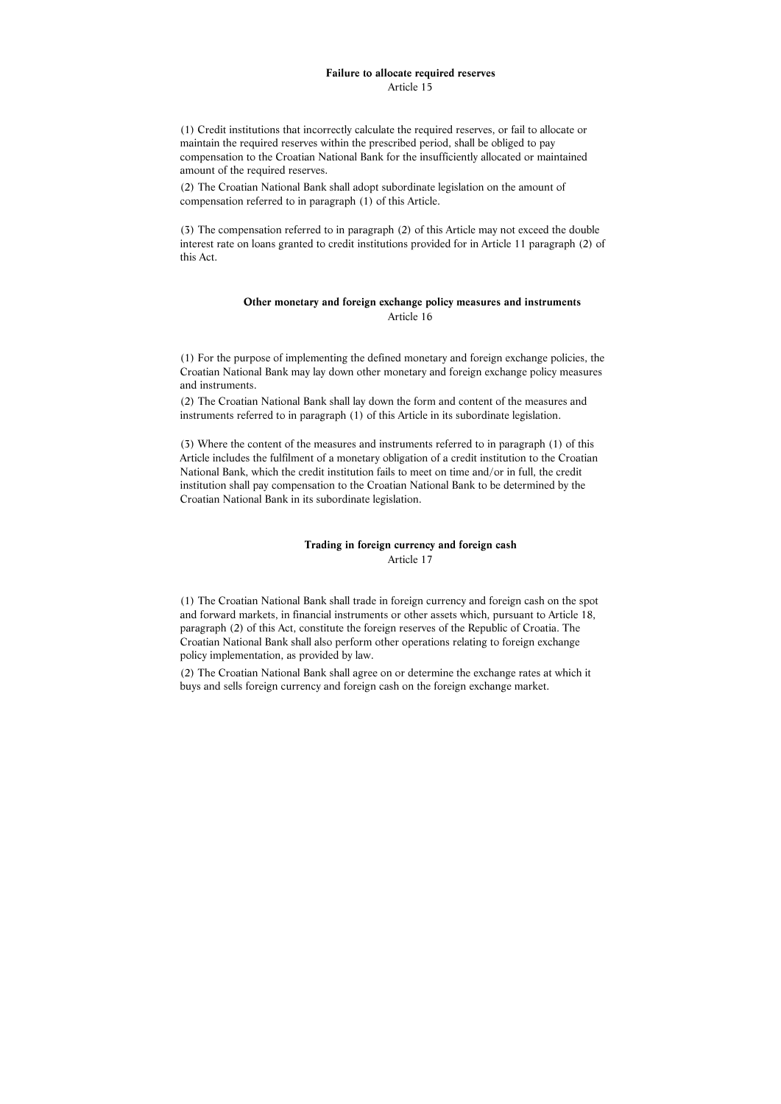#### **Failure to allocate required reserves**  Article 15

(1) Credit institutions that incorrectly calculate the required reserves, or fail to allocate or maintain the required reserves within the prescribed period, shall be obliged to pay compensation to the Croatian National Bank for the insufficiently allocated or maintained amount of the required reserves.

(2) The Croatian National Bank shall adopt subordinate legislation on the amount of compensation referred to in paragraph (1) of this Article.

(3) The compensation referred to in paragraph (2) of this Article may not exceed the double interest rate on loans granted to credit institutions provided for in Article 11 paragraph (2) of this Act.

## **Other monetary and foreign exchange policy measures and instruments**  Article 16

(1) For the purpose of implementing the defined monetary and foreign exchange policies, the Croatian National Bank may lay down other monetary and foreign exchange policy measures and instruments.

(2) The Croatian National Bank shall lay down the form and content of the measures and instruments referred to in paragraph (1) of this Article in its subordinate legislation.

(3) Where the content of the measures and instruments referred to in paragraph (1) of this Article includes the fulfilment of a monetary obligation of a credit institution to the Croatian National Bank, which the credit institution fails to meet on time and/or in full, the credit institution shall pay compensation to the Croatian National Bank to be determined by the Croatian National Bank in its subordinate legislation.

#### **Trading in foreign currency and foreign cash**  Article 17

(1) The Croatian National Bank shall trade in foreign currency and foreign cash on the spot and forward markets, in financial instruments or other assets which, pursuant to Article 18, paragraph (2) of this Act, constitute the foreign reserves of the Republic of Croatia. The Croatian National Bank shall also perform other operations relating to foreign exchange policy implementation, as provided by law.

(2) The Croatian National Bank shall agree on or determine the exchange rates at which it buys and sells foreign currency and foreign cash on the foreign exchange market.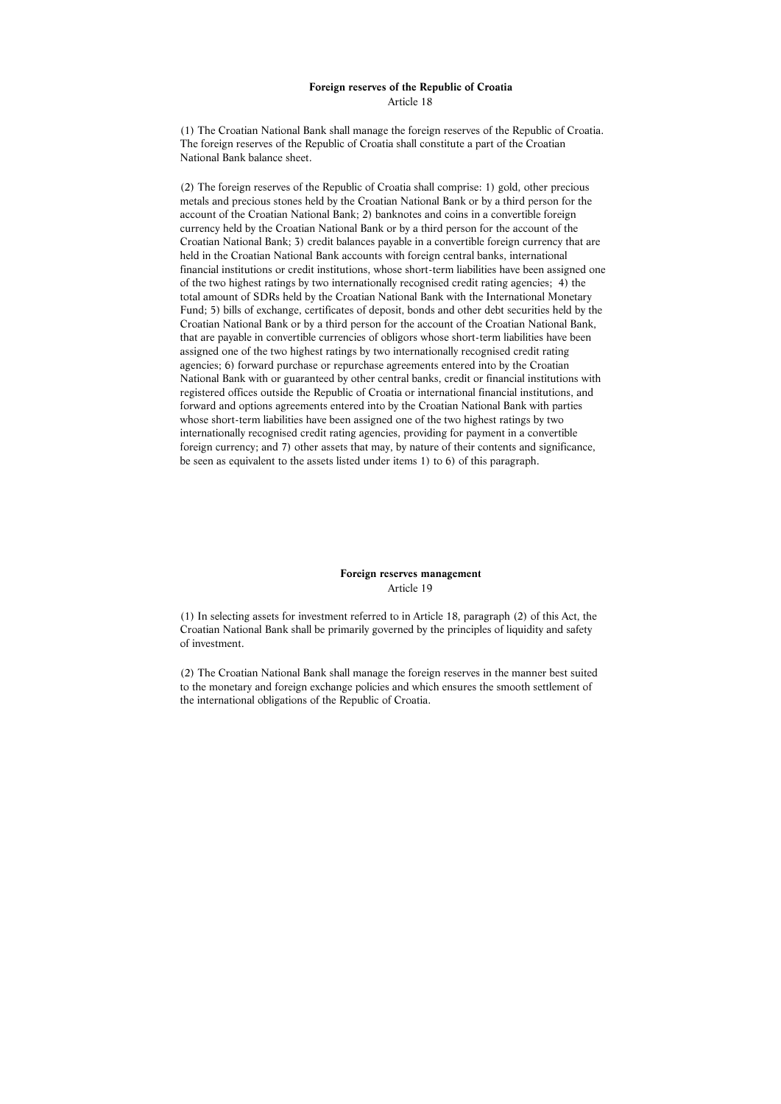#### **Foreign reserves of the Republic of Croatia**  Article 18

(1) The Croatian National Bank shall manage the foreign reserves of the Republic of Croatia. The foreign reserves of the Republic of Croatia shall constitute a part of the Croatian National Bank balance sheet.

(2) The foreign reserves of the Republic of Croatia shall comprise: 1) gold, other precious metals and precious stones held by the Croatian National Bank or by a third person for the account of the Croatian National Bank; 2) banknotes and coins in a convertible foreign currency held by the Croatian National Bank or by a third person for the account of the Croatian National Bank; 3) credit balances payable in a convertible foreign currency that are held in the Croatian National Bank accounts with foreign central banks, international financial institutions or credit institutions, whose short-term liabilities have been assigned one of the two highest ratings by two internationally recognised credit rating agencies; 4) the total amount of SDRs held by the Croatian National Bank with the International Monetary Fund; 5) bills of exchange, certificates of deposit, bonds and other debt securities held by the Croatian National Bank or by a third person for the account of the Croatian National Bank, that are payable in convertible currencies of obligors whose short-term liabilities have been assigned one of the two highest ratings by two internationally recognised credit rating agencies; 6) forward purchase or repurchase agreements entered into by the Croatian National Bank with or guaranteed by other central banks, credit or financial institutions with registered offices outside the Republic of Croatia or international financial institutions, and forward and options agreements entered into by the Croatian National Bank with parties whose short-term liabilities have been assigned one of the two highest ratings by two internationally recognised credit rating agencies, providing for payment in a convertible foreign currency; and 7) other assets that may, by nature of their contents and significance, be seen as equivalent to the assets listed under items 1) to 6) of this paragraph.

# **Foreign reserves management**  Article 19

(1) In selecting assets for investment referred to in Article 18, paragraph (2) of this Act, the Croatian National Bank shall be primarily governed by the principles of liquidity and safety of investment.

(2) The Croatian National Bank shall manage the foreign reserves in the manner best suited to the monetary and foreign exchange policies and which ensures the smooth settlement of the international obligations of the Republic of Croatia.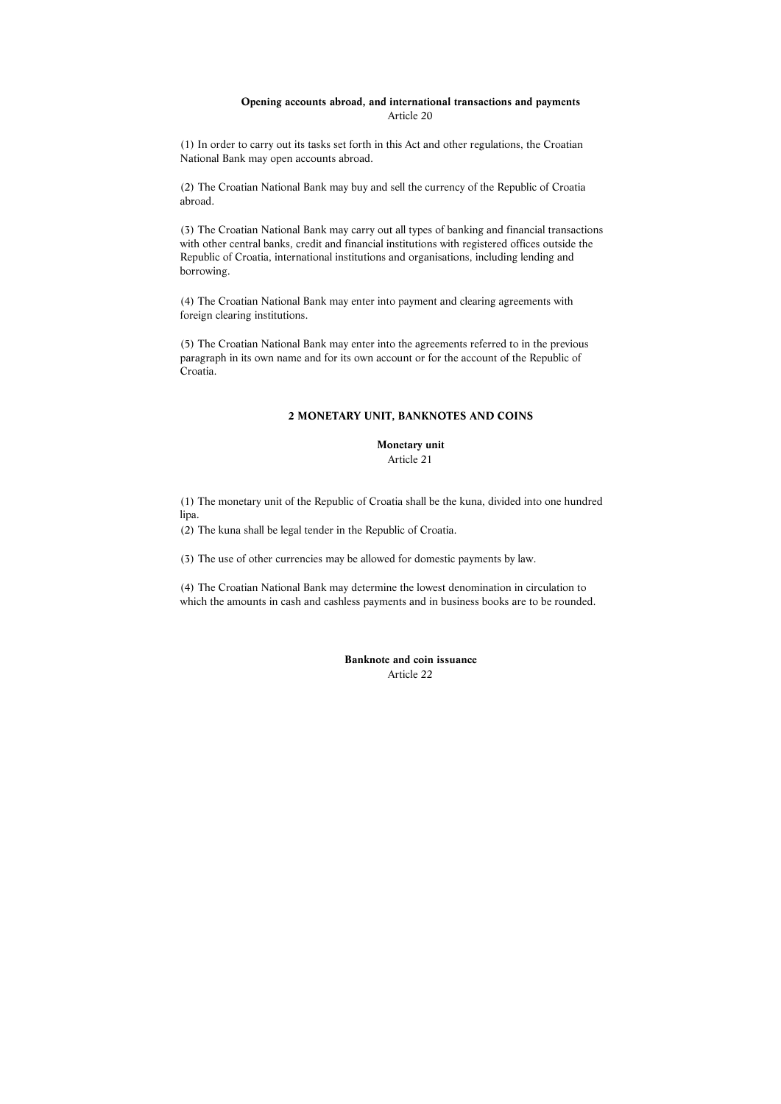# **Opening accounts abroad, and international transactions and payments**  Article 20

(1) In order to carry out its tasks set forth in this Act and other regulations, the Croatian National Bank may open accounts abroad.

(2) The Croatian National Bank may buy and sell the currency of the Republic of Croatia abroad.

(3) The Croatian National Bank may carry out all types of banking and financial transactions with other central banks, credit and financial institutions with registered offices outside the Republic of Croatia, international institutions and organisations, including lending and borrowing.

(4) The Croatian National Bank may enter into payment and clearing agreements with foreign clearing institutions.

(5) The Croatian National Bank may enter into the agreements referred to in the previous paragraph in its own name and for its own account or for the account of the Republic of Croatia.

# **2 MONETARY UNIT, BANKNOTES AND COINS**

**Monetary unit** 

Article 21

(1) The monetary unit of the Republic of Croatia shall be the kuna, divided into one hundred lipa.

(2) The kuna shall be legal tender in the Republic of Croatia.

(3) The use of other currencies may be allowed for domestic payments by law.

(4) The Croatian National Bank may determine the lowest denomination in circulation to which the amounts in cash and cashless payments and in business books are to be rounded.

> **Banknote and coin issuance**  Article 22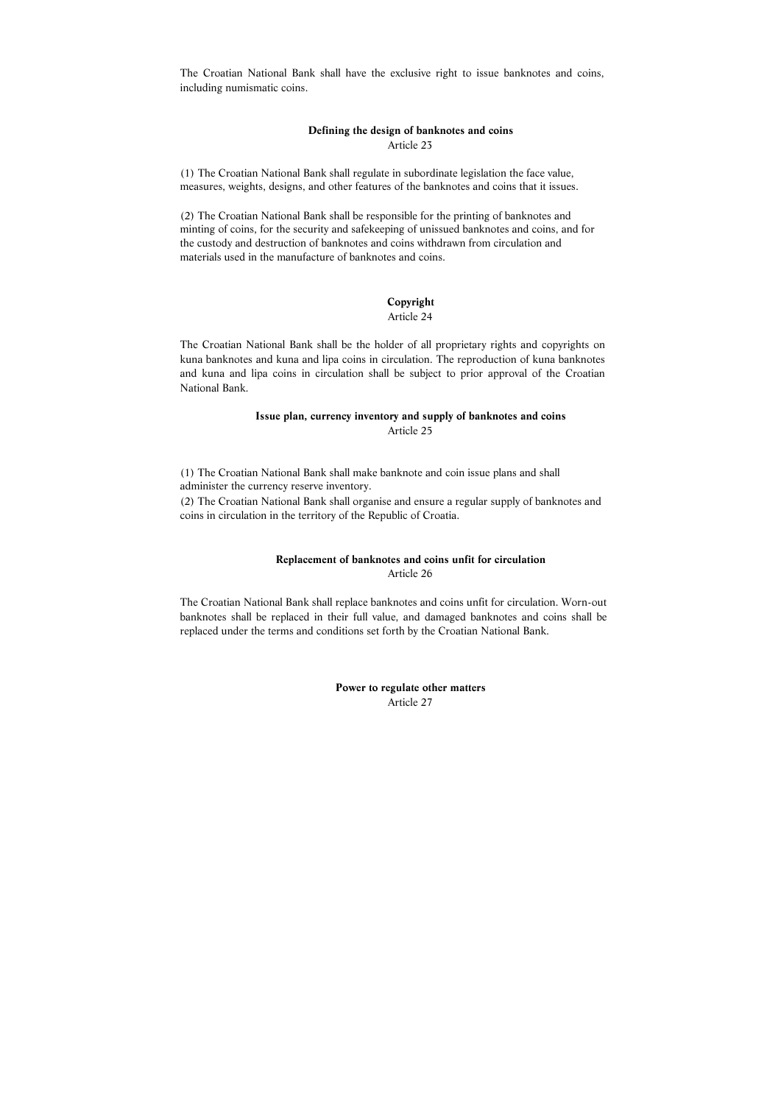The Croatian National Bank shall have the exclusive right to issue banknotes and coins, including numismatic coins.

# **Defining the design of banknotes and coins**  Article 23

(1) The Croatian National Bank shall regulate in subordinate legislation the face value, measures, weights, designs, and other features of the banknotes and coins that it issues.

(2) The Croatian National Bank shall be responsible for the printing of banknotes and minting of coins, for the security and safekeeping of unissued banknotes and coins, and for the custody and destruction of banknotes and coins withdrawn from circulation and materials used in the manufacture of banknotes and coins.

#### **Copyright**

#### Article 24

The Croatian National Bank shall be the holder of all proprietary rights and copyrights on kuna banknotes and kuna and lipa coins in circulation. The reproduction of kuna banknotes and kuna and lipa coins in circulation shall be subject to prior approval of the Croatian National Bank.

#### **Issue plan, currency inventory and supply of banknotes and coins**  Article 25

(1) The Croatian National Bank shall make banknote and coin issue plans and shall administer the currency reserve inventory.

(2) The Croatian National Bank shall organise and ensure a regular supply of banknotes and coins in circulation in the territory of the Republic of Croatia.

## **Replacement of banknotes and coins unfit for circulation**  Article 26

The Croatian National Bank shall replace banknotes and coins unfit for circulation. Worn-out banknotes shall be replaced in their full value, and damaged banknotes and coins shall be replaced under the terms and conditions set forth by the Croatian National Bank.

> **Power to regulate other matters**  Article 27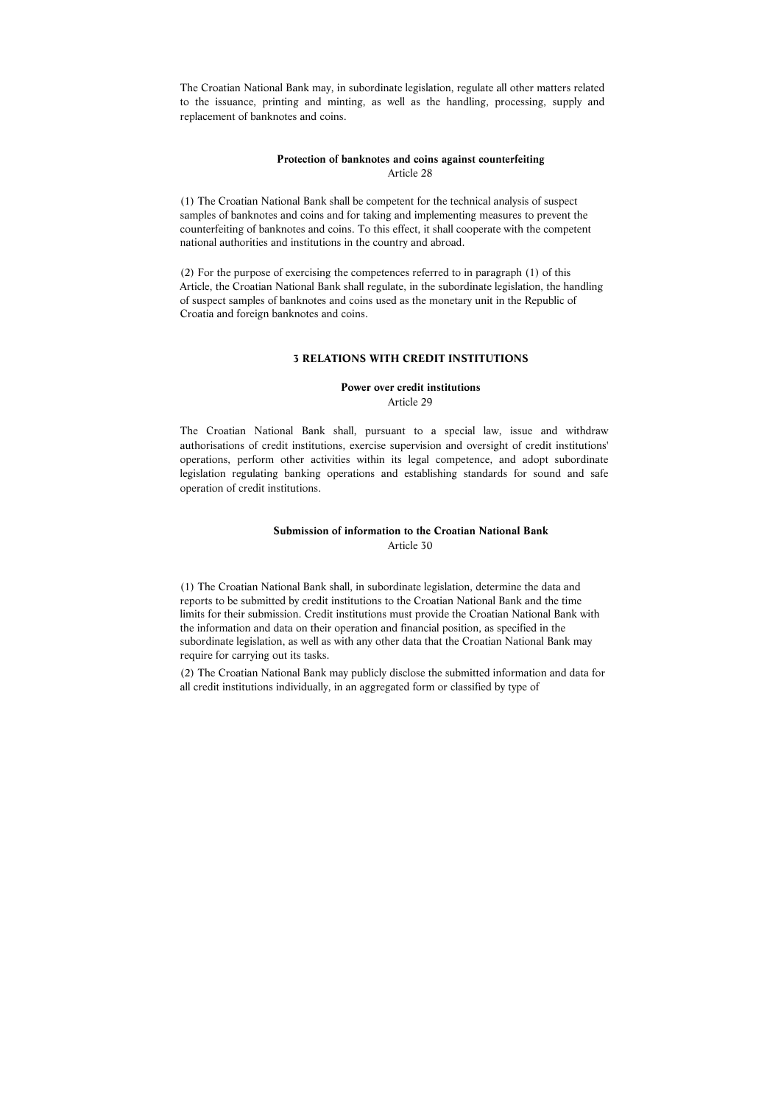The Croatian National Bank may, in subordinate legislation, regulate all other matters related to the issuance, printing and minting, as well as the handling, processing, supply and replacement of banknotes and coins.

#### **Protection of banknotes and coins against counterfeiting**  Article 28

(1) The Croatian National Bank shall be competent for the technical analysis of suspect samples of banknotes and coins and for taking and implementing measures to prevent the counterfeiting of banknotes and coins. To this effect, it shall cooperate with the competent national authorities and institutions in the country and abroad.

(2) For the purpose of exercising the competences referred to in paragraph (1) of this Article, the Croatian National Bank shall regulate, in the subordinate legislation, the handling of suspect samples of banknotes and coins used as the monetary unit in the Republic of Croatia and foreign banknotes and coins.

#### **3 RELATIONS WITH CREDIT INSTITUTIONS**

# **Power over credit institutions**

Article 29

The Croatian National Bank shall, pursuant to a special law, issue and withdraw authorisations of credit institutions, exercise supervision and oversight of credit institutions' operations, perform other activities within its legal competence, and adopt subordinate legislation regulating banking operations and establishing standards for sound and safe operation of credit institutions.

# **Submission of information to the Croatian National Bank**  Article 30

(1) The Croatian National Bank shall, in subordinate legislation, determine the data and reports to be submitted by credit institutions to the Croatian National Bank and the time limits for their submission. Credit institutions must provide the Croatian National Bank with the information and data on their operation and financial position, as specified in the subordinate legislation, as well as with any other data that the Croatian National Bank may require for carrying out its tasks.

(2) The Croatian National Bank may publicly disclose the submitted information and data for all credit institutions individually, in an aggregated form or classified by type of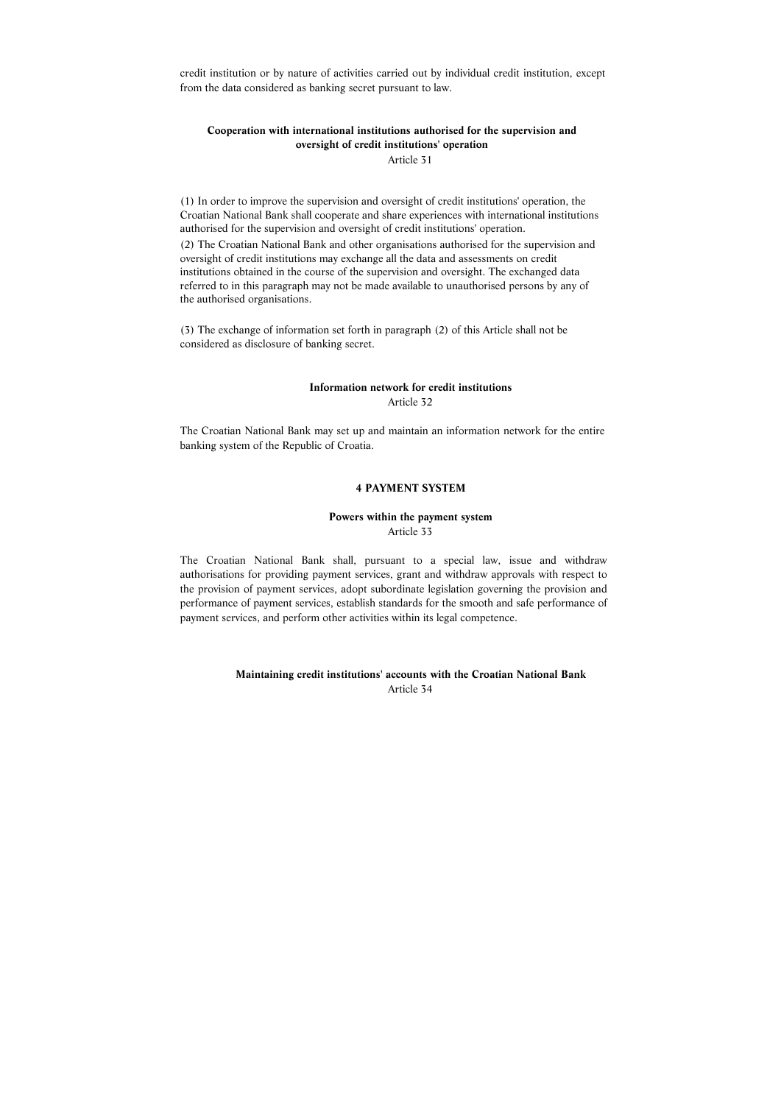credit institution or by nature of activities carried out by individual credit institution, except from the data considered as banking secret pursuant to law.

# **Cooperation with international institutions authorised for the supervision and oversight of credit institutions' operation**

Article 31

(1) In order to improve the supervision and oversight of credit institutions' operation, the Croatian National Bank shall cooperate and share experiences with international institutions authorised for the supervision and oversight of credit institutions' operation.

(2) The Croatian National Bank and other organisations authorised for the supervision and oversight of credit institutions may exchange all the data and assessments on credit institutions obtained in the course of the supervision and oversight. The exchanged data referred to in this paragraph may not be made available to unauthorised persons by any of the authorised organisations.

(3) The exchange of information set forth in paragraph (2) of this Article shall not be considered as disclosure of banking secret.

#### **Information network for credit institutions**  Article 32

The Croatian National Bank may set up and maintain an information network for the entire banking system of the Republic of Croatia.

#### **4 PAYMENT SYSTEM**

# **Powers within the payment system**  Article 33

The Croatian National Bank shall, pursuant to a special law, issue and withdraw authorisations for providing payment services, grant and withdraw approvals with respect to the provision of payment services, adopt subordinate legislation governing the provision and performance of payment services, establish standards for the smooth and safe performance of payment services, and perform other activities within its legal competence.

# **Maintaining credit institutions' accounts with the Croatian National Bank**  Article 34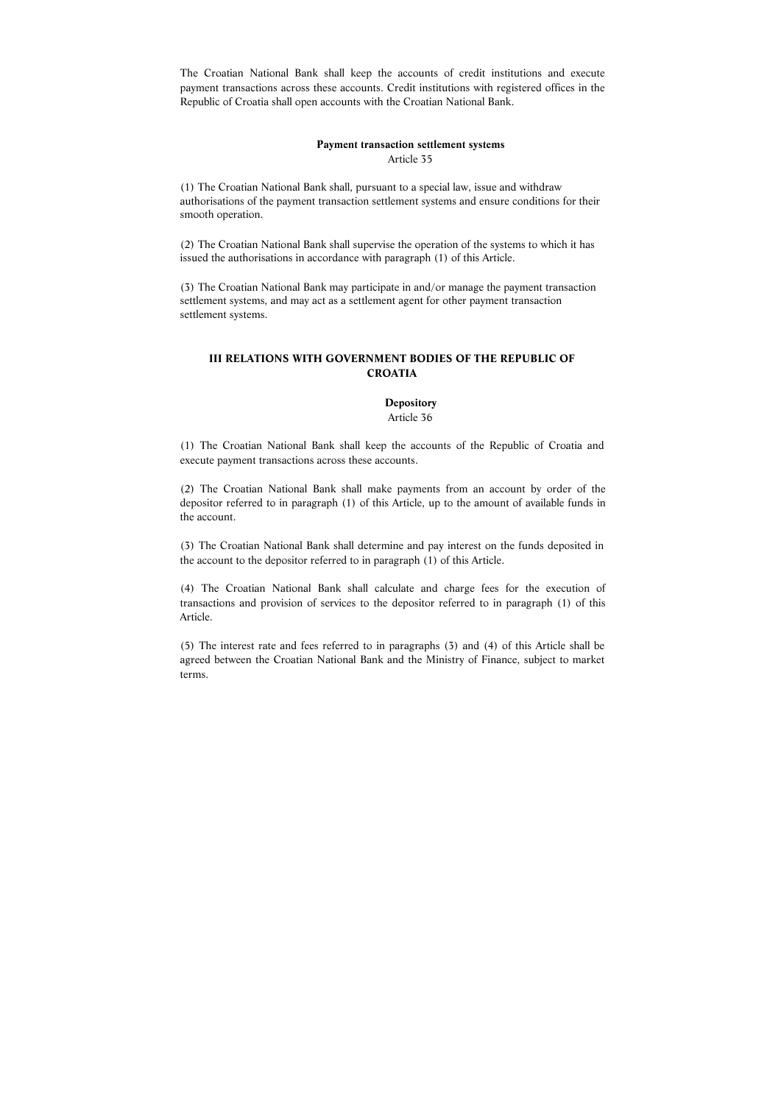The Croatian National Bank shall keep the accounts of credit institutions and execute payment transactions across these accounts. Credit institutions with registered offices in the Republic of Croatia shall open accounts with the Croatian National Bank.

# **Payment transaction settlement systems**  Article 35

(1) The Croatian National Bank shall, pursuant to a special law, issue and withdraw authorisations of the payment transaction settlement systems and ensure conditions for their smooth operation.

(2) The Croatian National Bank shall supervise the operation of the systems to which it has issued the authorisations in accordance with paragraph (1) of this Article.

(3) The Croatian National Bank may participate in and/or manage the payment transaction settlement systems, and may act as a settlement agent for other payment transaction settlement systems.

# **III RELATIONS WITH GOVERNMENT BODIES OF THE REPUBLIC OF CROATIA**

## **Depository**

#### Article 36

(1) The Croatian National Bank shall keep the accounts of the Republic of Croatia and execute payment transactions across these accounts.

(2) The Croatian National Bank shall make payments from an account by order of the depositor referred to in paragraph (1) of this Article, up to the amount of available funds in the account.

(3) The Croatian National Bank shall determine and pay interest on the funds deposited in the account to the depositor referred to in paragraph (1) of this Article.

(4) The Croatian National Bank shall calculate and charge fees for the execution of transactions and provision of services to the depositor referred to in paragraph (1) of this Article.

(5) The interest rate and fees referred to in paragraphs (3) and (4) of this Article shall be agreed between the Croatian National Bank and the Ministry of Finance, subject to market terms.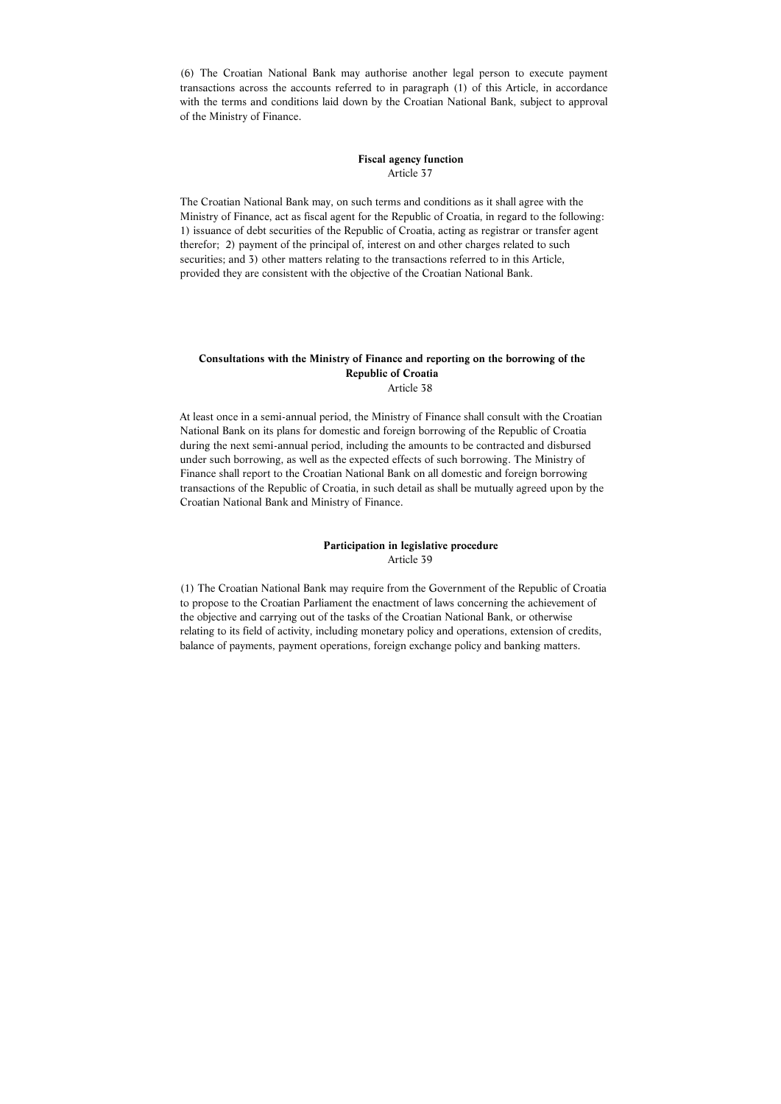(6) The Croatian National Bank may authorise another legal person to execute payment transactions across the accounts referred to in paragraph (1) of this Article, in accordance with the terms and conditions laid down by the Croatian National Bank, subject to approval of the Ministry of Finance.

## **Fiscal agency function**  Article 37

The Croatian National Bank may, on such terms and conditions as it shall agree with the Ministry of Finance, act as fiscal agent for the Republic of Croatia, in regard to the following: 1) issuance of debt securities of the Republic of Croatia, acting as registrar or transfer agent therefor; 2) payment of the principal of, interest on and other charges related to such securities; and 3) other matters relating to the transactions referred to in this Article, provided they are consistent with the objective of the Croatian National Bank.

# **Consultations with the Ministry of Finance and reporting on the borrowing of the Republic of Croatia**  Article 38

At least once in a semi-annual period, the Ministry of Finance shall consult with the Croatian National Bank on its plans for domestic and foreign borrowing of the Republic of Croatia during the next semi-annual period, including the amounts to be contracted and disbursed under such borrowing, as well as the expected effects of such borrowing. The Ministry of Finance shall report to the Croatian National Bank on all domestic and foreign borrowing transactions of the Republic of Croatia, in such detail as shall be mutually agreed upon by the Croatian National Bank and Ministry of Finance.

# **Participation in legislative procedure**  Article 39

(1) The Croatian National Bank may require from the Government of the Republic of Croatia to propose to the Croatian Parliament the enactment of laws concerning the achievement of the objective and carrying out of the tasks of the Croatian National Bank, or otherwise relating to its field of activity, including monetary policy and operations, extension of credits, balance of payments, payment operations, foreign exchange policy and banking matters.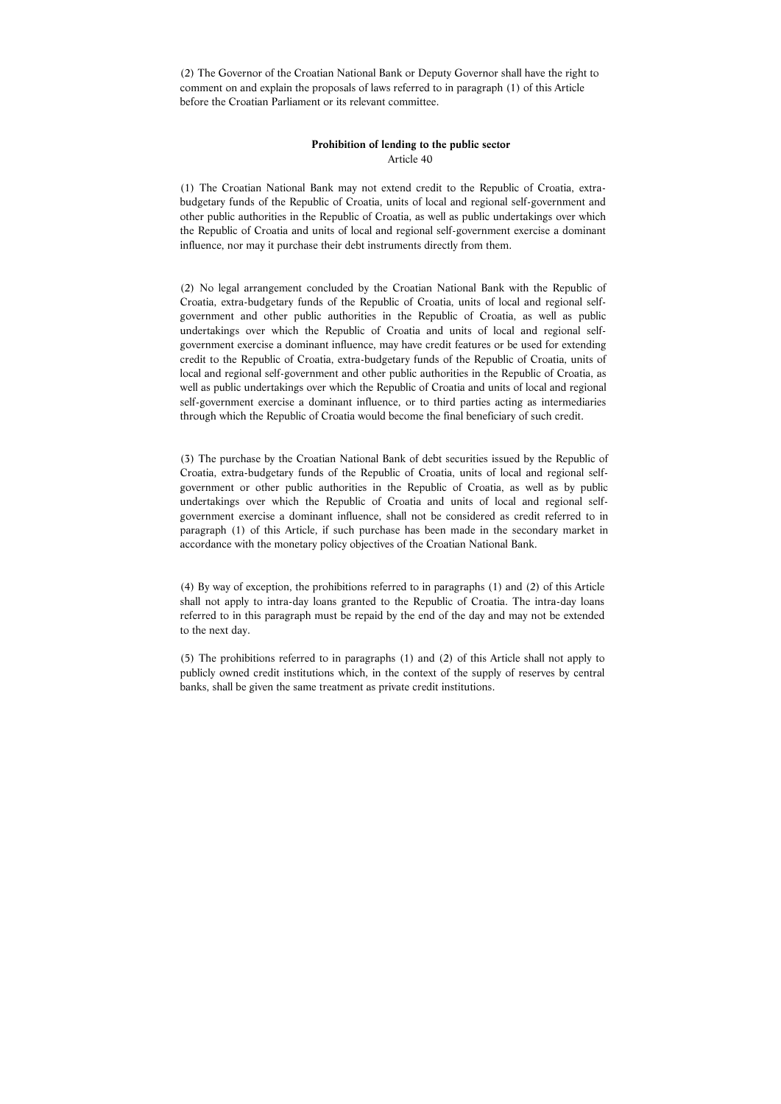(2) The Governor of the Croatian National Bank or Deputy Governor shall have the right to comment on and explain the proposals of laws referred to in paragraph (1) of this Article before the Croatian Parliament or its relevant committee.

# **Prohibition of lending to the public sector**  Article 40

(1) The Croatian National Bank may not extend credit to the Republic of Croatia, extrabudgetary funds of the Republic of Croatia, units of local and regional self-government and other public authorities in the Republic of Croatia, as well as public undertakings over which the Republic of Croatia and units of local and regional self-government exercise a dominant influence, nor may it purchase their debt instruments directly from them.

(2) No legal arrangement concluded by the Croatian National Bank with the Republic of Croatia, extra-budgetary funds of the Republic of Croatia, units of local and regional selfgovernment and other public authorities in the Republic of Croatia, as well as public undertakings over which the Republic of Croatia and units of local and regional selfgovernment exercise a dominant influence, may have credit features or be used for extending credit to the Republic of Croatia, extra-budgetary funds of the Republic of Croatia, units of local and regional self-government and other public authorities in the Republic of Croatia, as well as public undertakings over which the Republic of Croatia and units of local and regional self-government exercise a dominant influence, or to third parties acting as intermediaries through which the Republic of Croatia would become the final beneficiary of such credit.

(3) The purchase by the Croatian National Bank of debt securities issued by the Republic of Croatia, extra-budgetary funds of the Republic of Croatia, units of local and regional selfgovernment or other public authorities in the Republic of Croatia, as well as by public undertakings over which the Republic of Croatia and units of local and regional selfgovernment exercise a dominant influence, shall not be considered as credit referred to in paragraph (1) of this Article, if such purchase has been made in the secondary market in accordance with the monetary policy objectives of the Croatian National Bank.

(4) By way of exception, the prohibitions referred to in paragraphs (1) and (2) of this Article shall not apply to intra-day loans granted to the Republic of Croatia. The intra-day loans referred to in this paragraph must be repaid by the end of the day and may not be extended to the next day.

(5) The prohibitions referred to in paragraphs (1) and (2) of this Article shall not apply to publicly owned credit institutions which, in the context of the supply of reserves by central banks, shall be given the same treatment as private credit institutions.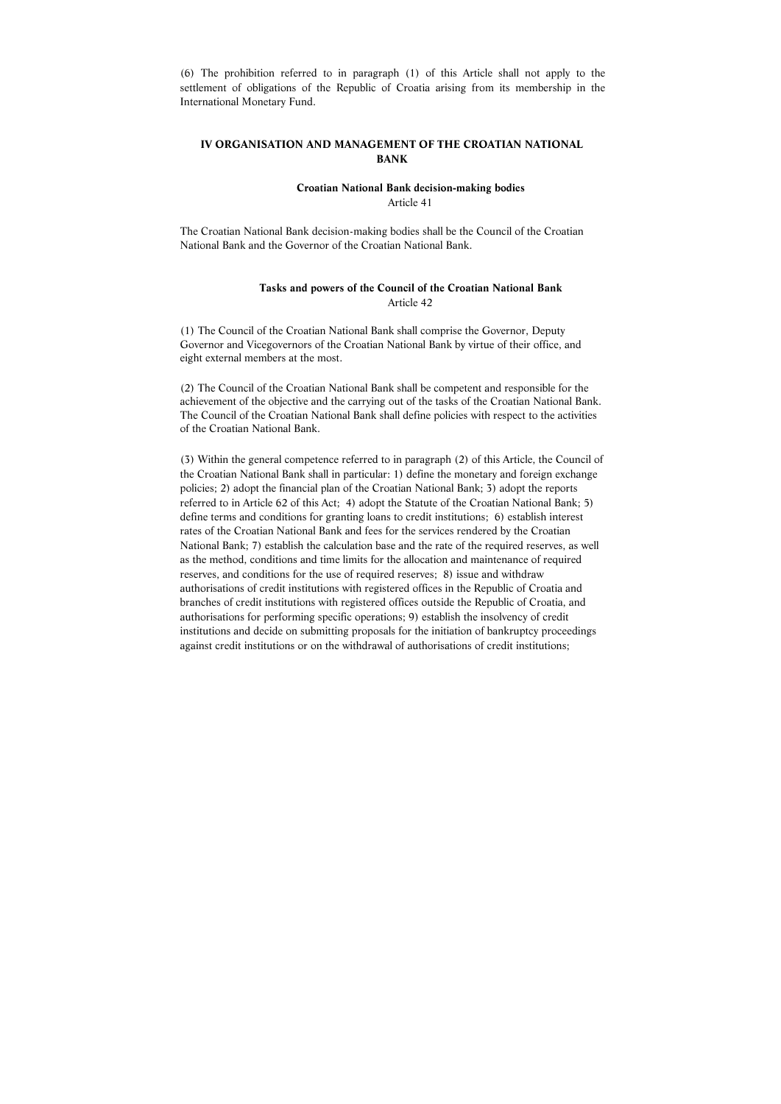(6) The prohibition referred to in paragraph (1) of this Article shall not apply to the settlement of obligations of the Republic of Croatia arising from its membership in the International Monetary Fund.

# **IV ORGANISATION AND MANAGEMENT OF THE CROATIAN NATIONAL BANK**

**Croatian National Bank decision-making bodies** 

Article 41

The Croatian National Bank decision-making bodies shall be the Council of the Croatian National Bank and the Governor of the Croatian National Bank.

# **Tasks and powers of the Council of the Croatian National Bank**  Article 42

(1) The Council of the Croatian National Bank shall comprise the Governor, Deputy Governor and Vicegovernors of the Croatian National Bank by virtue of their office, and eight external members at the most.

(2) The Council of the Croatian National Bank shall be competent and responsible for the achievement of the objective and the carrying out of the tasks of the Croatian National Bank. The Council of the Croatian National Bank shall define policies with respect to the activities of the Croatian National Bank.

(3) Within the general competence referred to in paragraph (2) of this Article, the Council of the Croatian National Bank shall in particular: 1) define the monetary and foreign exchange policies; 2) adopt the financial plan of the Croatian National Bank; 3) adopt the reports referred to in Article 62 of this Act; 4) adopt the Statute of the Croatian National Bank; 5) define terms and conditions for granting loans to credit institutions; 6) establish interest rates of the Croatian National Bank and fees for the services rendered by the Croatian National Bank; 7) establish the calculation base and the rate of the required reserves, as well as the method, conditions and time limits for the allocation and maintenance of required reserves, and conditions for the use of required reserves; 8) issue and withdraw authorisations of credit institutions with registered offices in the Republic of Croatia and branches of credit institutions with registered offices outside the Republic of Croatia, and authorisations for performing specific operations; 9) establish the insolvency of credit institutions and decide on submitting proposals for the initiation of bankruptcy proceedings against credit institutions or on the withdrawal of authorisations of credit institutions;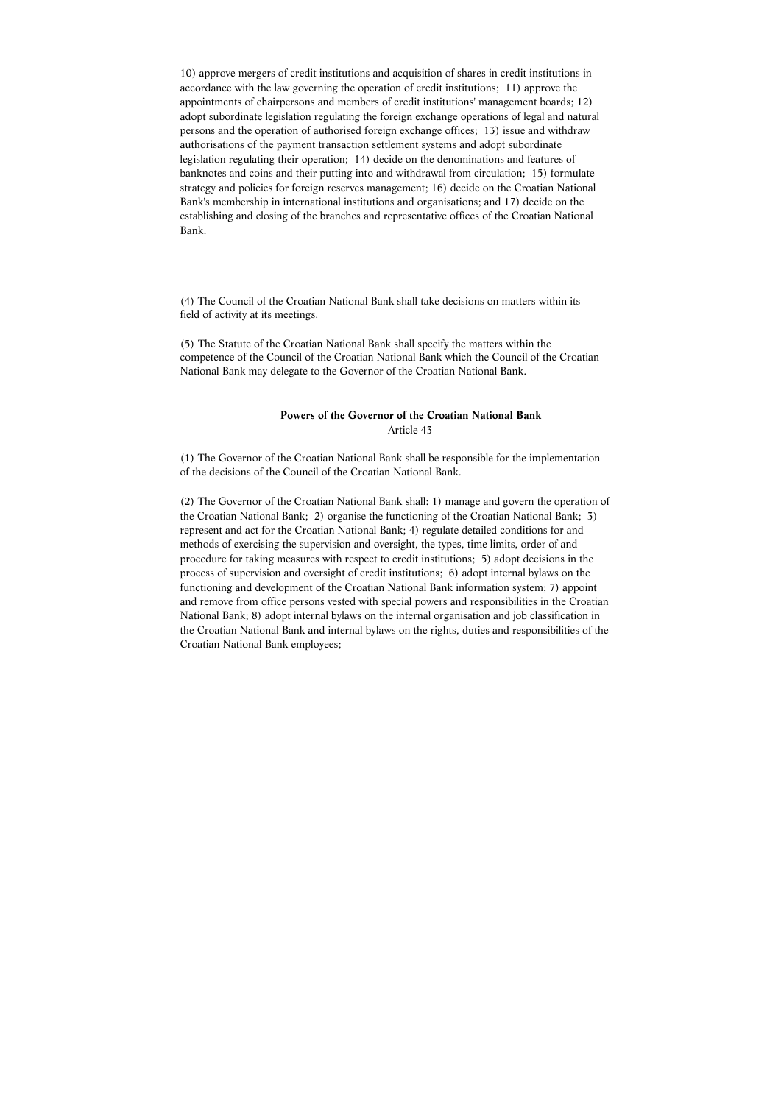10) approve mergers of credit institutions and acquisition of shares in credit institutions in accordance with the law governing the operation of credit institutions; 11) approve the appointments of chairpersons and members of credit institutions' management boards; 12) adopt subordinate legislation regulating the foreign exchange operations of legal and natural persons and the operation of authorised foreign exchange offices; 13) issue and withdraw authorisations of the payment transaction settlement systems and adopt subordinate legislation regulating their operation; 14) decide on the denominations and features of banknotes and coins and their putting into and withdrawal from circulation; 15) formulate strategy and policies for foreign reserves management; 16) decide on the Croatian National Bank's membership in international institutions and organisations; and 17) decide on the establishing and closing of the branches and representative offices of the Croatian National Bank.

(4) The Council of the Croatian National Bank shall take decisions on matters within its field of activity at its meetings.

(5) The Statute of the Croatian National Bank shall specify the matters within the competence of the Council of the Croatian National Bank which the Council of the Croatian National Bank may delegate to the Governor of the Croatian National Bank.

## **Powers of the Governor of the Croatian National Bank**  Article 43

(1) The Governor of the Croatian National Bank shall be responsible for the implementation of the decisions of the Council of the Croatian National Bank.

(2) The Governor of the Croatian National Bank shall: 1) manage and govern the operation of the Croatian National Bank; 2) organise the functioning of the Croatian National Bank; 3) represent and act for the Croatian National Bank; 4) regulate detailed conditions for and methods of exercising the supervision and oversight, the types, time limits, order of and procedure for taking measures with respect to credit institutions; 5) adopt decisions in the process of supervision and oversight of credit institutions; 6) adopt internal bylaws on the functioning and development of the Croatian National Bank information system; 7) appoint and remove from office persons vested with special powers and responsibilities in the Croatian National Bank; 8) adopt internal bylaws on the internal organisation and job classification in the Croatian National Bank and internal bylaws on the rights, duties and responsibilities of the Croatian National Bank employees;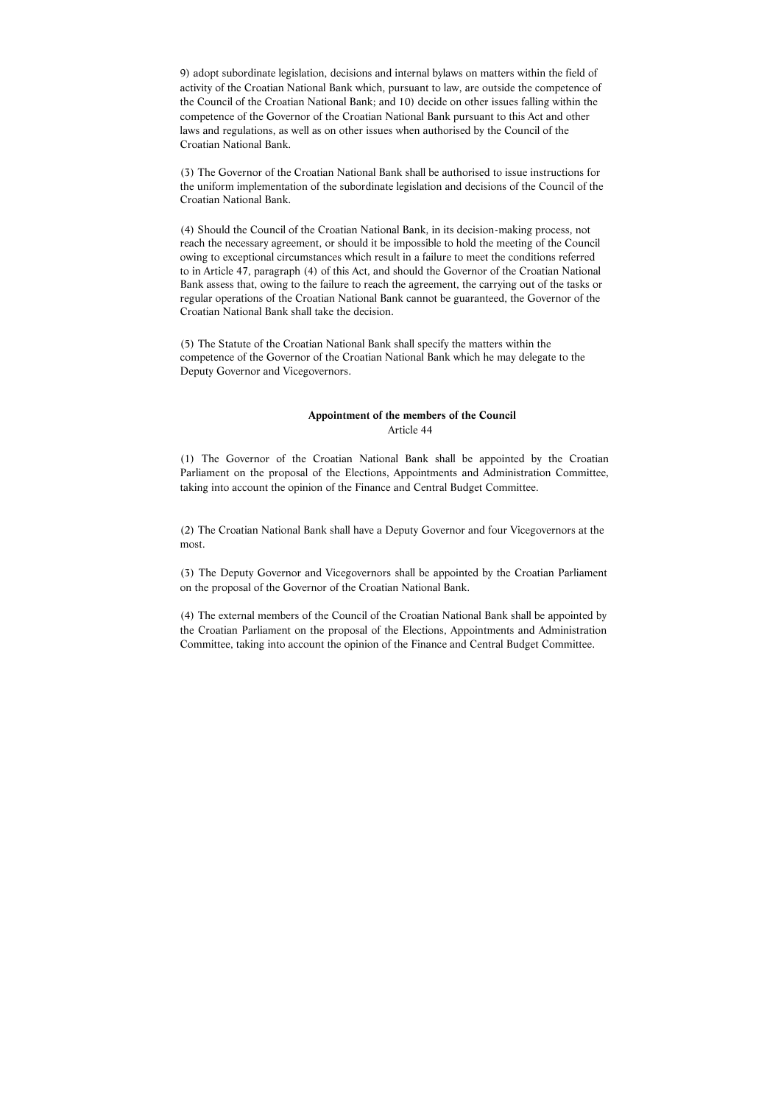9) adopt subordinate legislation, decisions and internal bylaws on matters within the field of activity of the Croatian National Bank which, pursuant to law, are outside the competence of the Council of the Croatian National Bank; and 10) decide on other issues falling within the competence of the Governor of the Croatian National Bank pursuant to this Act and other laws and regulations, as well as on other issues when authorised by the Council of the Croatian National Bank.

(3) The Governor of the Croatian National Bank shall be authorised to issue instructions for the uniform implementation of the subordinate legislation and decisions of the Council of the Croatian National Bank.

(4) Should the Council of the Croatian National Bank, in its decision-making process, not reach the necessary agreement, or should it be impossible to hold the meeting of the Council owing to exceptional circumstances which result in a failure to meet the conditions referred to in Article 47, paragraph (4) of this Act, and should the Governor of the Croatian National Bank assess that, owing to the failure to reach the agreement, the carrying out of the tasks or regular operations of the Croatian National Bank cannot be guaranteed, the Governor of the Croatian National Bank shall take the decision.

(5) The Statute of the Croatian National Bank shall specify the matters within the competence of the Governor of the Croatian National Bank which he may delegate to the Deputy Governor and Vicegovernors.

## **Appointment of the members of the Council**  Article 44

(1) The Governor of the Croatian National Bank shall be appointed by the Croatian Parliament on the proposal of the Elections, Appointments and Administration Committee, taking into account the opinion of the Finance and Central Budget Committee.

(2) The Croatian National Bank shall have a Deputy Governor and four Vicegovernors at the most.

(3) The Deputy Governor and Vicegovernors shall be appointed by the Croatian Parliament on the proposal of the Governor of the Croatian National Bank.

(4) The external members of the Council of the Croatian National Bank shall be appointed by the Croatian Parliament on the proposal of the Elections, Appointments and Administration Committee, taking into account the opinion of the Finance and Central Budget Committee.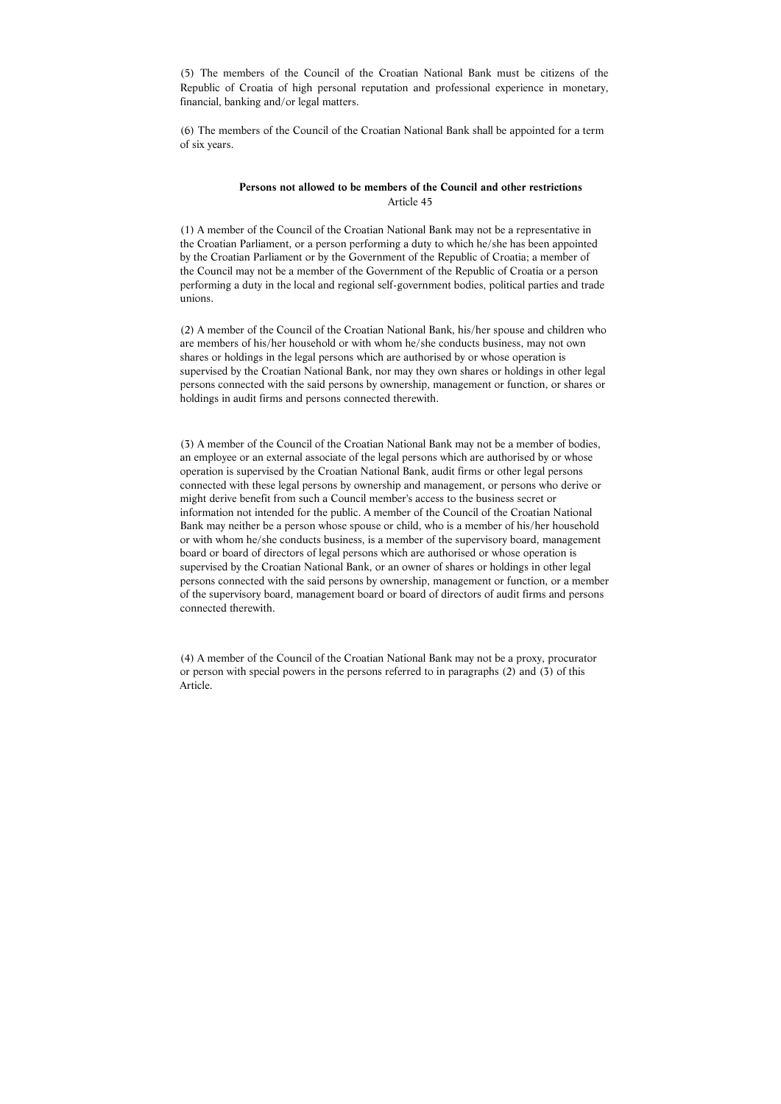(5) The members of the Council of the Croatian National Bank must be citizens of the Republic of Croatia of high personal reputation and professional experience in monetary, financial, banking and/or legal matters.

(6) The members of the Council of the Croatian National Bank shall be appointed for a term of six years.

# **Persons not allowed to be members of the Council and other restrictions**  Article 45

(1) A member of the Council of the Croatian National Bank may not be a representative in the Croatian Parliament, or a person performing a duty to which he/she has been appointed by the Croatian Parliament or by the Government of the Republic of Croatia; a member of the Council may not be a member of the Government of the Republic of Croatia or a person performing a duty in the local and regional self-government bodies, political parties and trade unions.

(2) A member of the Council of the Croatian National Bank, his/her spouse and children who are members of his/her household or with whom he/she conducts business, may not own shares or holdings in the legal persons which are authorised by or whose operation is supervised by the Croatian National Bank, nor may they own shares or holdings in other legal persons connected with the said persons by ownership, management or function, or shares or holdings in audit firms and persons connected therewith.

(3) A member of the Council of the Croatian National Bank may not be a member of bodies, an employee or an external associate of the legal persons which are authorised by or whose operation is supervised by the Croatian National Bank, audit firms or other legal persons connected with these legal persons by ownership and management, or persons who derive or might derive benefit from such a Council member's access to the business secret or information not intended for the public. A member of the Council of the Croatian National Bank may neither be a person whose spouse or child, who is a member of his/her household or with whom he/she conducts business, is a member of the supervisory board, management board or board of directors of legal persons which are authorised or whose operation is supervised by the Croatian National Bank, or an owner of shares or holdings in other legal persons connected with the said persons by ownership, management or function, or a member of the supervisory board, management board or board of directors of audit firms and persons connected therewith.

(4) A member of the Council of the Croatian National Bank may not be a proxy, procurator or person with special powers in the persons referred to in paragraphs (2) and (3) of this Article.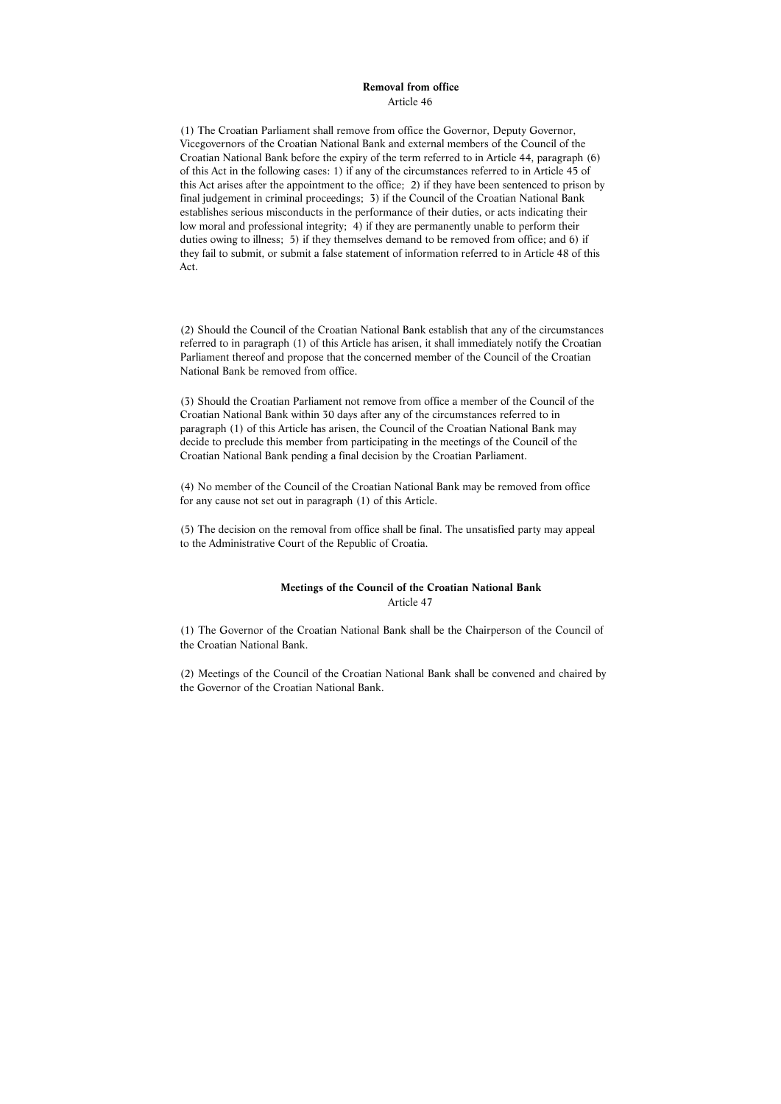#### **Removal from office**  Article 46

(1) The Croatian Parliament shall remove from office the Governor, Deputy Governor, Vicegovernors of the Croatian National Bank and external members of the Council of the Croatian National Bank before the expiry of the term referred to in Article 44, paragraph (6) of this Act in the following cases: 1) if any of the circumstances referred to in Article 45 of this Act arises after the appointment to the office; 2) if they have been sentenced to prison by final judgement in criminal proceedings; 3) if the Council of the Croatian National Bank establishes serious misconducts in the performance of their duties, or acts indicating their low moral and professional integrity; 4) if they are permanently unable to perform their duties owing to illness; 5) if they themselves demand to be removed from office; and 6) if they fail to submit, or submit a false statement of information referred to in Article 48 of this Act.

(2) Should the Council of the Croatian National Bank establish that any of the circumstances referred to in paragraph (1) of this Article has arisen, it shall immediately notify the Croatian Parliament thereof and propose that the concerned member of the Council of the Croatian National Bank be removed from office.

(3) Should the Croatian Parliament not remove from office a member of the Council of the Croatian National Bank within 30 days after any of the circumstances referred to in paragraph (1) of this Article has arisen, the Council of the Croatian National Bank may decide to preclude this member from participating in the meetings of the Council of the Croatian National Bank pending a final decision by the Croatian Parliament.

(4) No member of the Council of the Croatian National Bank may be removed from office for any cause not set out in paragraph (1) of this Article.

(5) The decision on the removal from office shall be final. The unsatisfied party may appeal to the Administrative Court of the Republic of Croatia.

### **Meetings of the Council of the Croatian National Bank**  Article 47

(1) The Governor of the Croatian National Bank shall be the Chairperson of the Council of the Croatian National Bank.

(2) Meetings of the Council of the Croatian National Bank shall be convened and chaired by the Governor of the Croatian National Bank.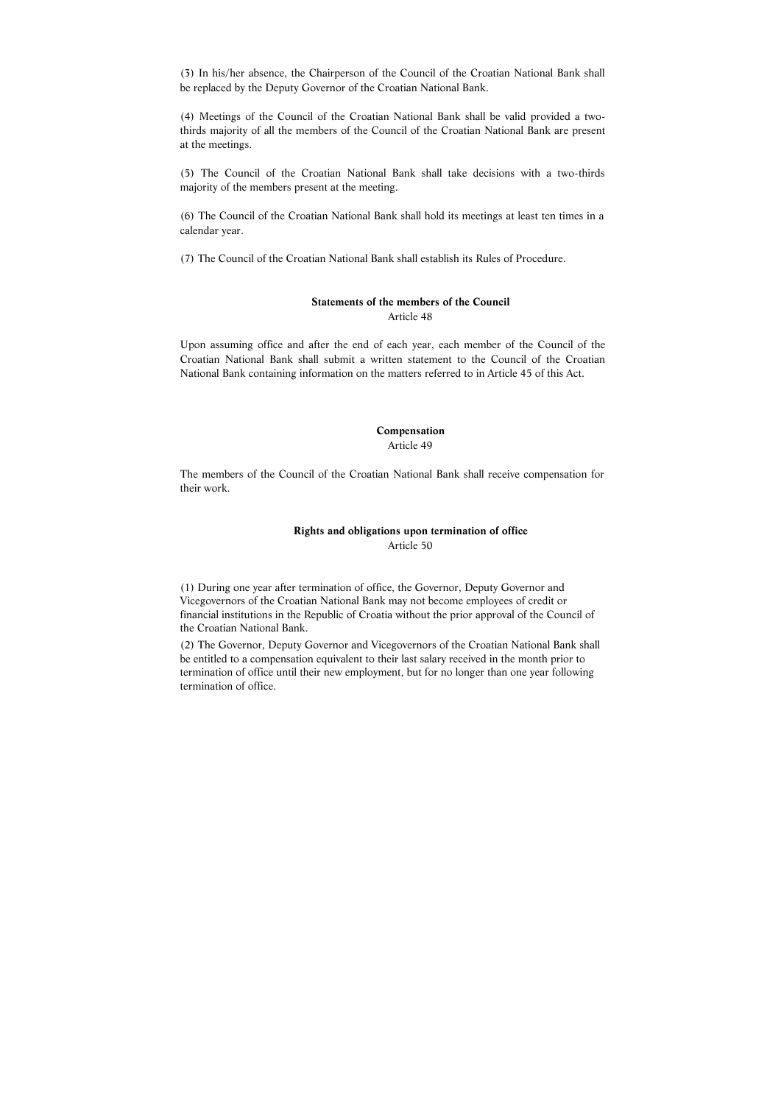(3) In his/her absence, the Chairperson of the Council of the Croatian National Bank shall be replaced by the Deputy Governor of the Croatian National Bank.

(4) Meetings of the Council of the Croatian National Bank shall be valid provided a twothirds majority of all the members of the Council of the Croatian National Bank are present at the meetings.

(5) The Council of the Croatian National Bank shall take decisions with a two-thirds majority of the members present at the meeting.

(6) The Council of the Croatian National Bank shall hold its meetings at least ten times in a calendar year.

(7) The Council of the Croatian National Bank shall establish its Rules of Procedure.

# **Statements of the members of the Council**  Article 48

Upon assuming office and after the end of each year, each member of the Council of the Croatian National Bank shall submit a written statement to the Council of the Croatian National Bank containing information on the matters referred to in Article 45 of this Act.

#### **Compensation**  Article 49

The members of the Council of the Croatian National Bank shall receive compensation for their work.

# **Rights and obligations upon termination of office**  Article 50

(1) During one year after termination of office, the Governor, Deputy Governor and Vicegovernors of the Croatian National Bank may not become employees of credit or financial institutions in the Republic of Croatia without the prior approval of the Council of the Croatian National Bank.

(2) The Governor, Deputy Governor and Vicegovernors of the Croatian National Bank shall be entitled to a compensation equivalent to their last salary received in the month prior to termination of office until their new employment, but for no longer than one year following termination of office.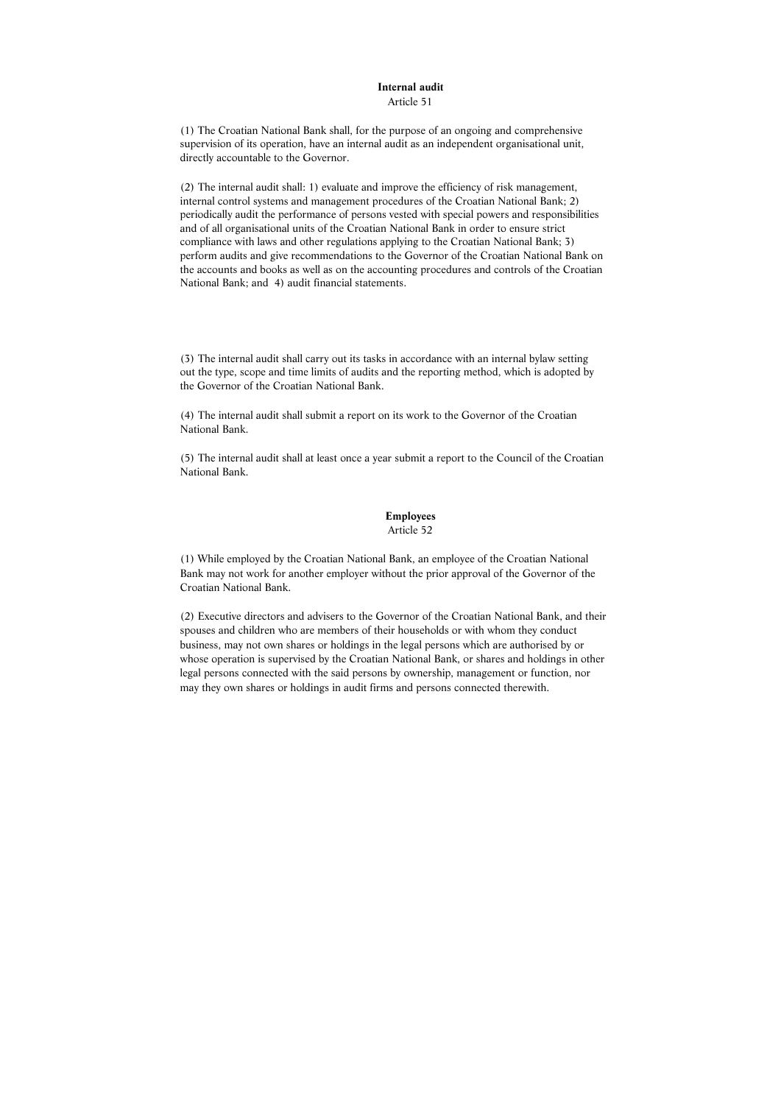#### **Internal audit**

Article 51

(1) The Croatian National Bank shall, for the purpose of an ongoing and comprehensive supervision of its operation, have an internal audit as an independent organisational unit, directly accountable to the Governor.

(2) The internal audit shall: 1) evaluate and improve the efficiency of risk management, internal control systems and management procedures of the Croatian National Bank; 2) periodically audit the performance of persons vested with special powers and responsibilities and of all organisational units of the Croatian National Bank in order to ensure strict compliance with laws and other regulations applying to the Croatian National Bank; 3) perform audits and give recommendations to the Governor of the Croatian National Bank on the accounts and books as well as on the accounting procedures and controls of the Croatian National Bank; and 4) audit financial statements.

(3) The internal audit shall carry out its tasks in accordance with an internal bylaw setting out the type, scope and time limits of audits and the reporting method, which is adopted by the Governor of the Croatian National Bank.

(4) The internal audit shall submit a report on its work to the Governor of the Croatian National Bank.

(5) The internal audit shall at least once a year submit a report to the Council of the Croatian National Bank.

#### **Employees**

#### Article 52

(1) While employed by the Croatian National Bank, an employee of the Croatian National Bank may not work for another employer without the prior approval of the Governor of the Croatian National Bank.

(2) Executive directors and advisers to the Governor of the Croatian National Bank, and their spouses and children who are members of their households or with whom they conduct business, may not own shares or holdings in the legal persons which are authorised by or whose operation is supervised by the Croatian National Bank, or shares and holdings in other legal persons connected with the said persons by ownership, management or function, nor may they own shares or holdings in audit firms and persons connected therewith.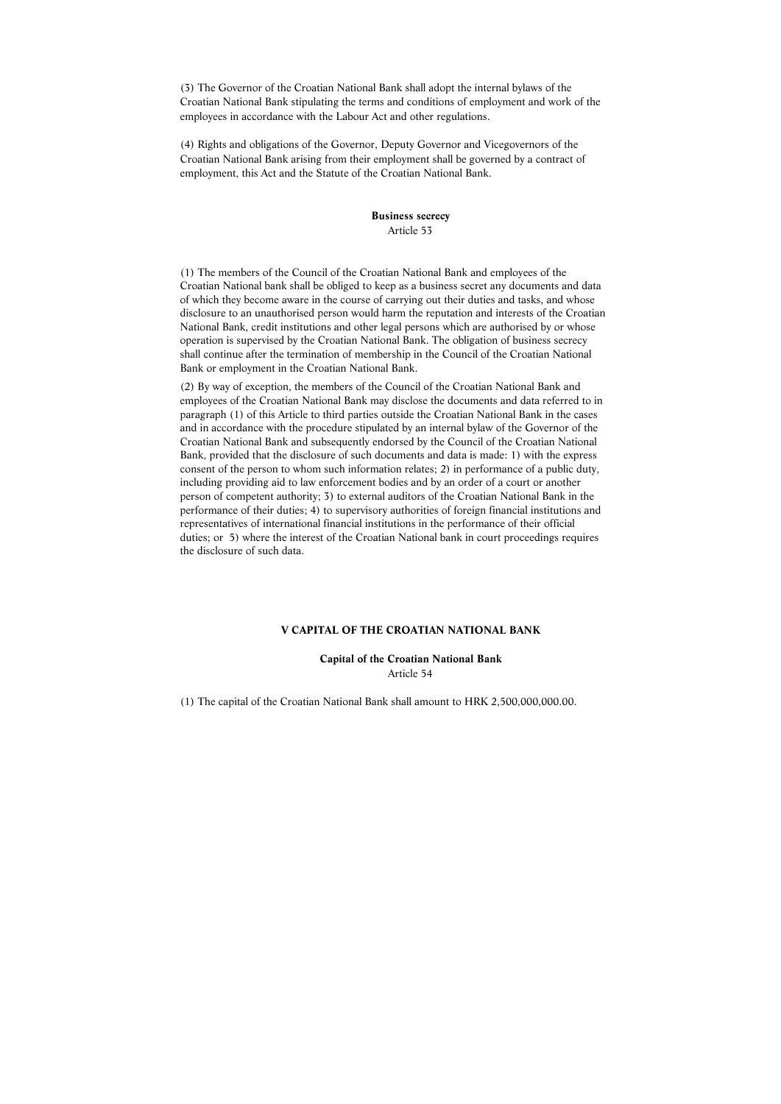(3) The Governor of the Croatian National Bank shall adopt the internal bylaws of the Croatian National Bank stipulating the terms and conditions of employment and work of the employees in accordance with the Labour Act and other regulations.

(4) Rights and obligations of the Governor, Deputy Governor and Vicegovernors of the Croatian National Bank arising from their employment shall be governed by a contract of employment, this Act and the Statute of the Croatian National Bank.

#### **Business secrecy**

Article 53

(1) The members of the Council of the Croatian National Bank and employees of the Croatian National bank shall be obliged to keep as a business secret any documents and data of which they become aware in the course of carrying out their duties and tasks, and whose disclosure to an unauthorised person would harm the reputation and interests of the Croatian National Bank, credit institutions and other legal persons which are authorised by or whose operation is supervised by the Croatian National Bank. The obligation of business secrecy shall continue after the termination of membership in the Council of the Croatian National Bank or employment in the Croatian National Bank.

(2) By way of exception, the members of the Council of the Croatian National Bank and employees of the Croatian National Bank may disclose the documents and data referred to in paragraph (1) of this Article to third parties outside the Croatian National Bank in the cases and in accordance with the procedure stipulated by an internal bylaw of the Governor of the Croatian National Bank and subsequently endorsed by the Council of the Croatian National Bank, provided that the disclosure of such documents and data is made: 1) with the express consent of the person to whom such information relates; 2) in performance of a public duty, including providing aid to law enforcement bodies and by an order of a court or another person of competent authority; 3) to external auditors of the Croatian National Bank in the performance of their duties; 4) to supervisory authorities of foreign financial institutions and representatives of international financial institutions in the performance of their official duties; or 5) where the interest of the Croatian National bank in court proceedings requires the disclosure of such data.

#### **V CAPITAL OF THE CROATIAN NATIONAL BANK**

**Capital of the Croatian National Bank**  Article 54

(1) The capital of the Croatian National Bank shall amount to HRK 2,500,000,000.00.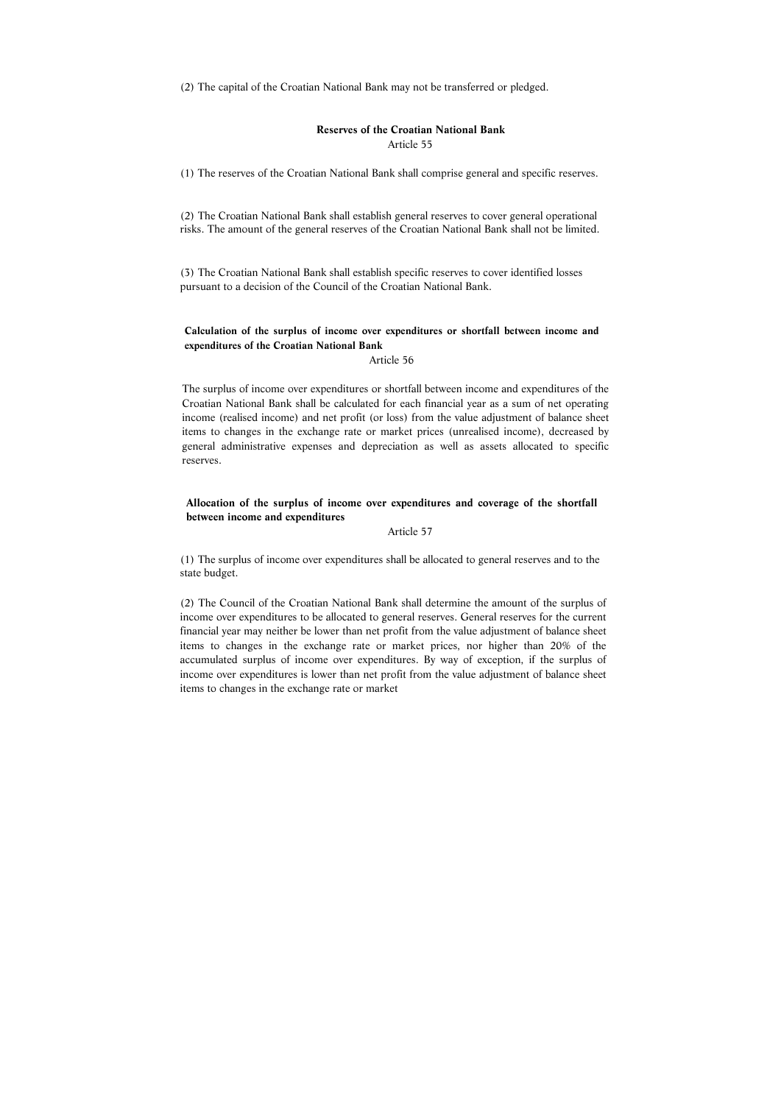(2) The capital of the Croatian National Bank may not be transferred or pledged.

#### **Reserves of the Croatian National Bank**  Article 55

(1) The reserves of the Croatian National Bank shall comprise general and specific reserves.

(2) The Croatian National Bank shall establish general reserves to cover general operational risks. The amount of the general reserves of the Croatian National Bank shall not be limited.

(3) The Croatian National Bank shall establish specific reserves to cover identified losses pursuant to a decision of the Council of the Croatian National Bank.

The surplus of income over expenditures or shortfall between income and expenditures of the Croatian National Bank shall be calculated for each financial year as a sum of net operating income (realised income) and net profit (or loss) from the value adjustment of balance sheet items to changes in the exchange rate or market prices (unrealised income), decreased by general administrative expenses and depreciation as well as assets allocated to specific reserves.

**Calculation of the surplus of income over expenditures or shortfall between income and expenditures of the Croatian National Bank** 

Article 56

# **Allocation of the surplus of income over expenditures and coverage of the shortfall between income and expenditures**

#### Article 57

(1) The surplus of income over expenditures shall be allocated to general reserves and to the state budget.

(2) The Council of the Croatian National Bank shall determine the amount of the surplus of income over expenditures to be allocated to general reserves. General reserves for the current financial year may neither be lower than net profit from the value adjustment of balance sheet items to changes in the exchange rate or market prices, nor higher than 20% of the accumulated surplus of income over expenditures. By way of exception, if the surplus of income over expenditures is lower than net profit from the value adjustment of balance sheet items to changes in the exchange rate or market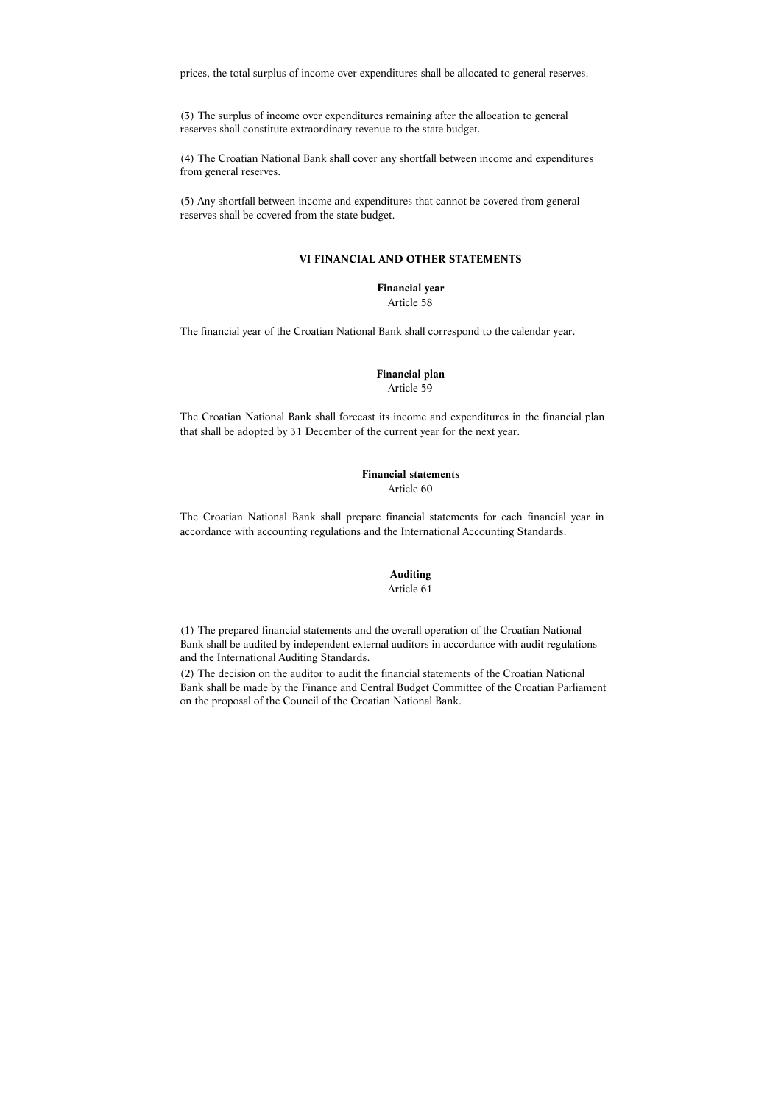prices, the total surplus of income over expenditures shall be allocated to general reserves.

(3) The surplus of income over expenditures remaining after the allocation to general reserves shall constitute extraordinary revenue to the state budget.

(4) The Croatian National Bank shall cover any shortfall between income and expenditures from general reserves.

The Croatian National Bank shall forecast its income and expenditures in the financial plan that shall be adopted by 31 December of the current year for the next year.

(5) Any shortfall between income and expenditures that cannot be covered from general reserves shall be covered from the state budget.

#### **VI FINANCIAL AND OTHER STATEMENTS**

**Financial year**  Article 58

The financial year of the Croatian National Bank shall correspond to the calendar year.

# **Financial plan**  Article 59

#### **Financial statements**  Article 60

The Croatian National Bank shall prepare financial statements for each financial year in accordance with accounting regulations and the International Accounting Standards.

# **Auditing**

Article 61

(1) The prepared financial statements and the overall operation of the Croatian National Bank shall be audited by independent external auditors in accordance with audit regulations and the International Auditing Standards.

(2) The decision on the auditor to audit the financial statements of the Croatian National Bank shall be made by the Finance and Central Budget Committee of the Croatian Parliament on the proposal of the Council of the Croatian National Bank.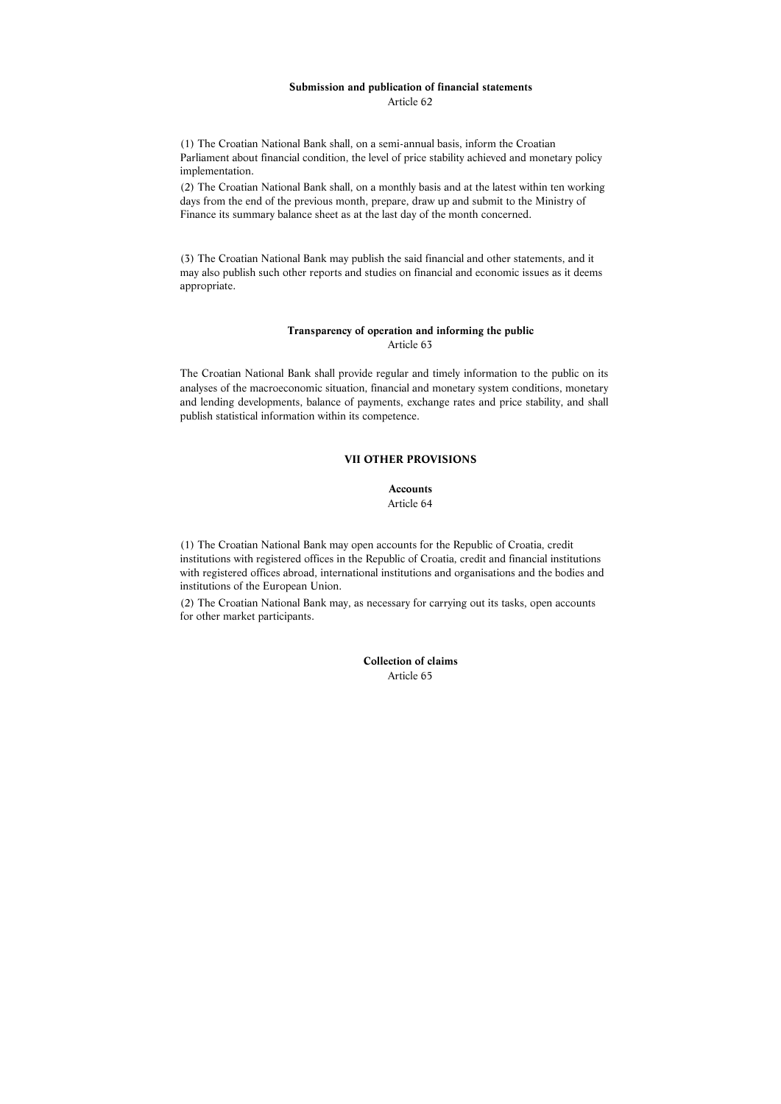# **Submission and publication of financial statements**

Article 62

(1) The Croatian National Bank shall, on a semi-annual basis, inform the Croatian Parliament about financial condition, the level of price stability achieved and monetary policy implementation.

(2) The Croatian National Bank shall, on a monthly basis and at the latest within ten working days from the end of the previous month, prepare, draw up and submit to the Ministry of Finance its summary balance sheet as at the last day of the month concerned.

(3) The Croatian National Bank may publish the said financial and other statements, and it may also publish such other reports and studies on financial and economic issues as it deems appropriate.

# **Transparency of operation and informing the public**

Article 63

The Croatian National Bank shall provide regular and timely information to the public on its analyses of the macroeconomic situation, financial and monetary system conditions, monetary and lending developments, balance of payments, exchange rates and price stability, and shall publish statistical information within its competence.

# **VII OTHER PROVISIONS**

# **Accounts**

#### Article 64

(1) The Croatian National Bank may open accounts for the Republic of Croatia, credit institutions with registered offices in the Republic of Croatia, credit and financial institutions with registered offices abroad, international institutions and organisations and the bodies and institutions of the European Union.

(2) The Croatian National Bank may, as necessary for carrying out its tasks, open accounts for other market participants.

> **Collection of claims**  Article 65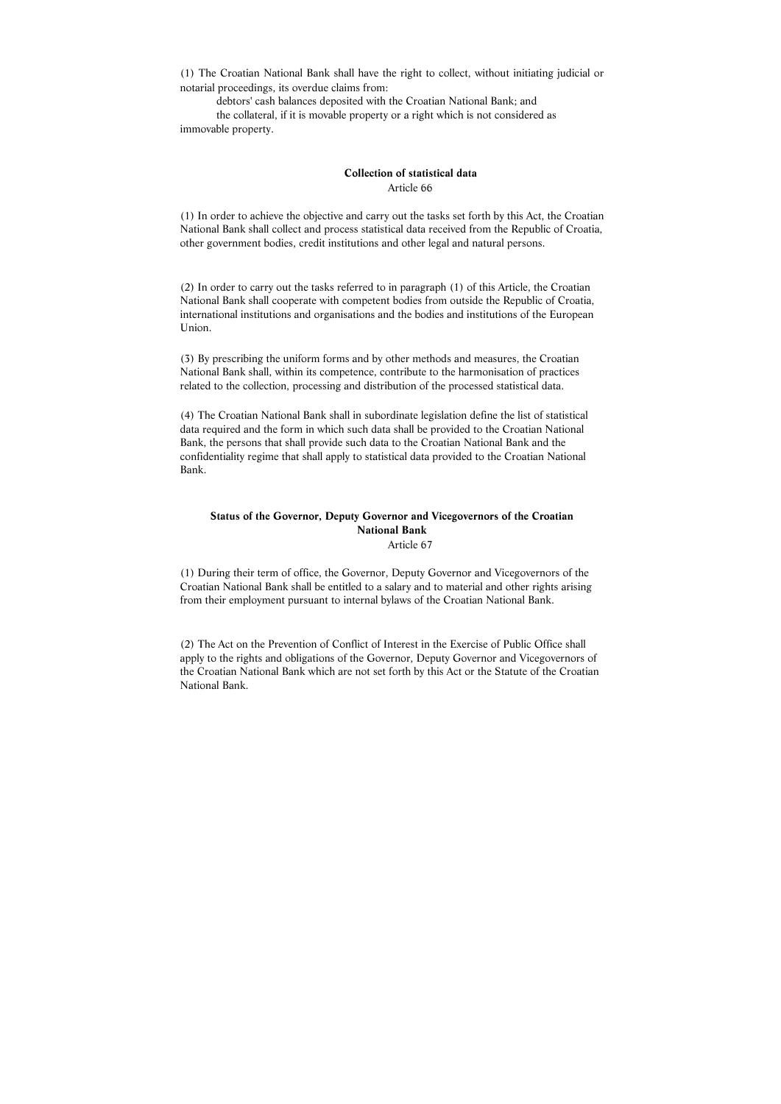(1) The Croatian National Bank shall have the right to collect, without initiating judicial or notarial proceedings, its overdue claims from:

 debtors' cash balances deposited with the Croatian National Bank; and the collateral, if it is movable property or a right which is not considered as immovable property.

### **Collection of statistical data**  Article 66

(1) In order to achieve the objective and carry out the tasks set forth by this Act, the Croatian National Bank shall collect and process statistical data received from the Republic of Croatia, other government bodies, credit institutions and other legal and natural persons.

(2) In order to carry out the tasks referred to in paragraph (1) of this Article, the Croatian National Bank shall cooperate with competent bodies from outside the Republic of Croatia, international institutions and organisations and the bodies and institutions of the European Union.

(3) By prescribing the uniform forms and by other methods and measures, the Croatian National Bank shall, within its competence, contribute to the harmonisation of practices related to the collection, processing and distribution of the processed statistical data.

(4) The Croatian National Bank shall in subordinate legislation define the list of statistical data required and the form in which such data shall be provided to the Croatian National Bank, the persons that shall provide such data to the Croatian National Bank and the confidentiality regime that shall apply to statistical data provided to the Croatian National Bank.

# **Status of the Governor, Deputy Governor and Vicegovernors of the Croatian National Bank**

Article 67

(1) During their term of office, the Governor, Deputy Governor and Vicegovernors of the Croatian National Bank shall be entitled to a salary and to material and other rights arising from their employment pursuant to internal bylaws of the Croatian National Bank.

(2) The Act on the Prevention of Conflict of Interest in the Exercise of Public Office shall apply to the rights and obligations of the Governor, Deputy Governor and Vicegovernors of the Croatian National Bank which are not set forth by this Act or the Statute of the Croatian National Bank.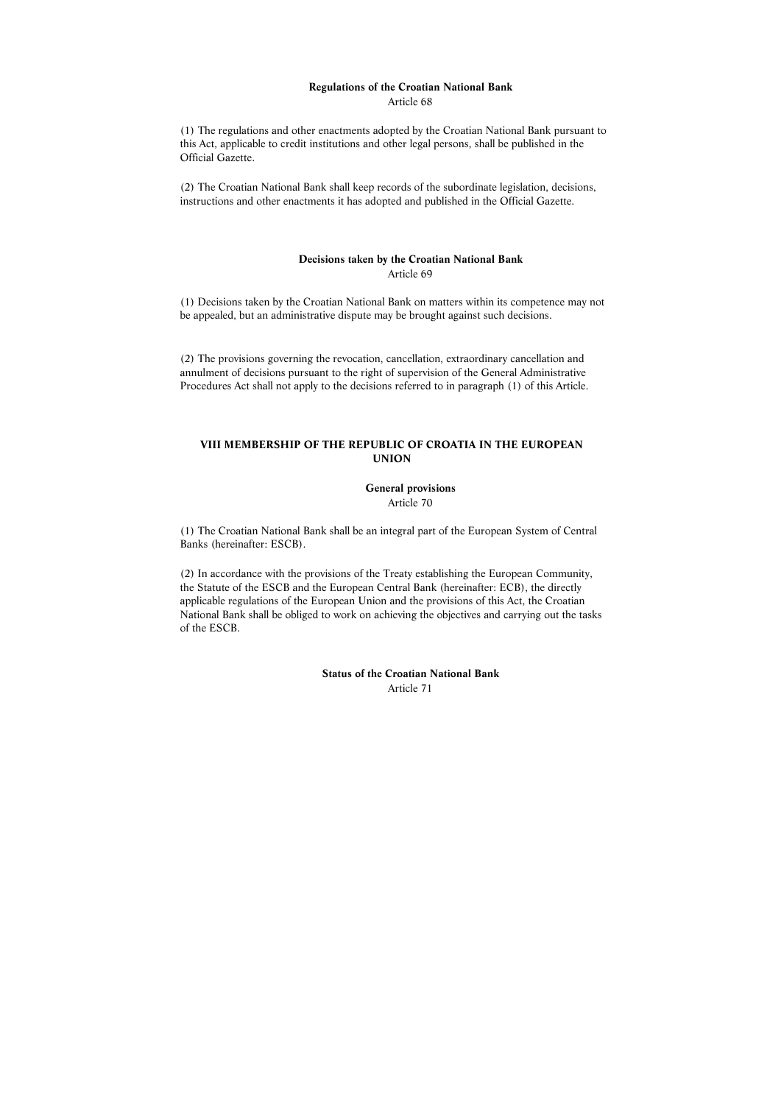# **Regulations of the Croatian National Bank**

Article 68

(1) The regulations and other enactments adopted by the Croatian National Bank pursuant to this Act, applicable to credit institutions and other legal persons, shall be published in the Official Gazette.

(2) The Croatian National Bank shall keep records of the subordinate legislation, decisions, instructions and other enactments it has adopted and published in the Official Gazette.

#### **Decisions taken by the Croatian National Bank**  Article 69

(1) Decisions taken by the Croatian National Bank on matters within its competence may not be appealed, but an administrative dispute may be brought against such decisions.

(2) The provisions governing the revocation, cancellation, extraordinary cancellation and annulment of decisions pursuant to the right of supervision of the General Administrative Procedures Act shall not apply to the decisions referred to in paragraph (1) of this Article.

# **VIII MEMBERSHIP OF THE REPUBLIC OF CROATIA IN THE EUROPEAN UNION**

#### **General provisions**

Article 70

(1) The Croatian National Bank shall be an integral part of the European System of Central Banks (hereinafter: ESCB).

(2) In accordance with the provisions of the Treaty establishing the European Community, the Statute of the ESCB and the European Central Bank (hereinafter: ECB), the directly applicable regulations of the European Union and the provisions of this Act, the Croatian National Bank shall be obliged to work on achieving the objectives and carrying out the tasks of the ESCB.

> **Status of the Croatian National Bank**  Article 71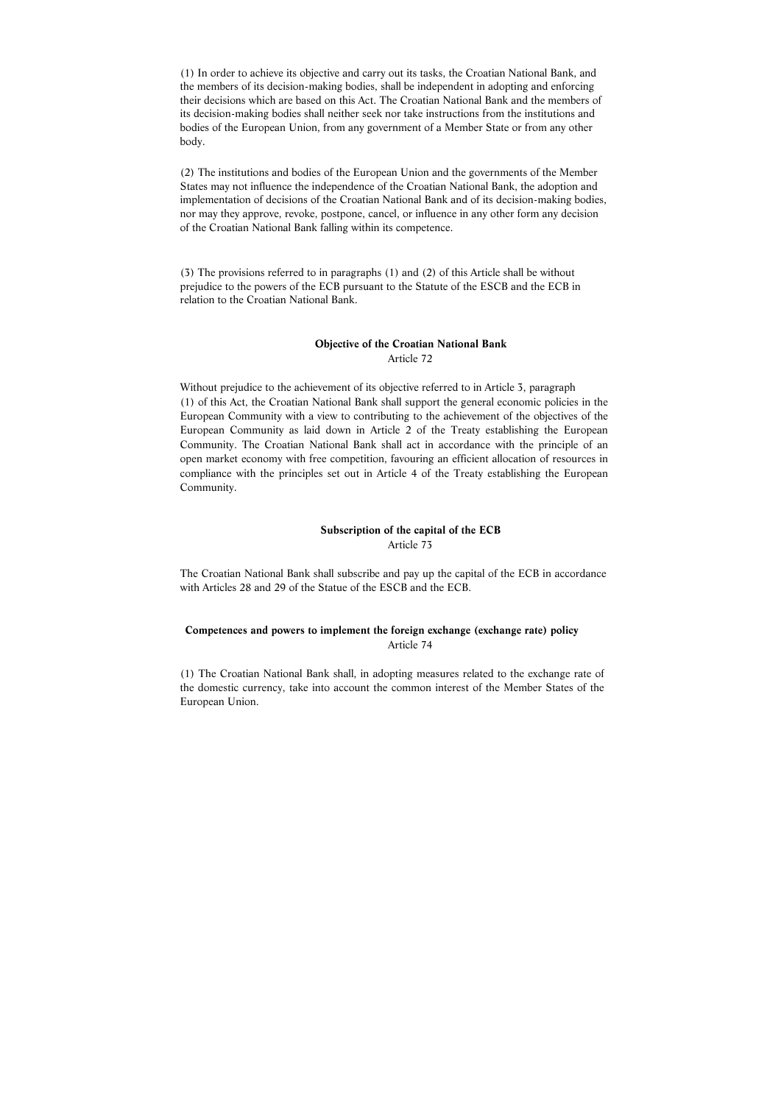(1) In order to achieve its objective and carry out its tasks, the Croatian National Bank, and the members of its decision-making bodies, shall be independent in adopting and enforcing their decisions which are based on this Act. The Croatian National Bank and the members of its decision-making bodies shall neither seek nor take instructions from the institutions and bodies of the European Union, from any government of a Member State or from any other body.

(2) The institutions and bodies of the European Union and the governments of the Member States may not influence the independence of the Croatian National Bank, the adoption and implementation of decisions of the Croatian National Bank and of its decision-making bodies, nor may they approve, revoke, postpone, cancel, or influence in any other form any decision of the Croatian National Bank falling within its competence.

(3) The provisions referred to in paragraphs (1) and (2) of this Article shall be without prejudice to the powers of the ECB pursuant to the Statute of the ESCB and the ECB in relation to the Croatian National Bank.

# **Objective of the Croatian National Bank**  Article 72

Without prejudice to the achievement of its objective referred to in Article 3, paragraph (1) of this Act, the Croatian National Bank shall support the general economic policies in the European Community with a view to contributing to the achievement of the objectives of the European Community as laid down in Article 2 of the Treaty establishing the European Community. The Croatian National Bank shall act in accordance with the principle of an open market economy with free competition, favouring an efficient allocation of resources in compliance with the principles set out in Article 4 of the Treaty establishing the European Community.

#### **Subscription of the capital of the ECB**  Article 73

The Croatian National Bank shall subscribe and pay up the capital of the ECB in accordance with Articles 28 and 29 of the Statue of the ESCB and the ECB.

# **Competences and powers to implement the foreign exchange (exchange rate) policy**  Article 74

(1) The Croatian National Bank shall, in adopting measures related to the exchange rate of the domestic currency, take into account the common interest of the Member States of the European Union.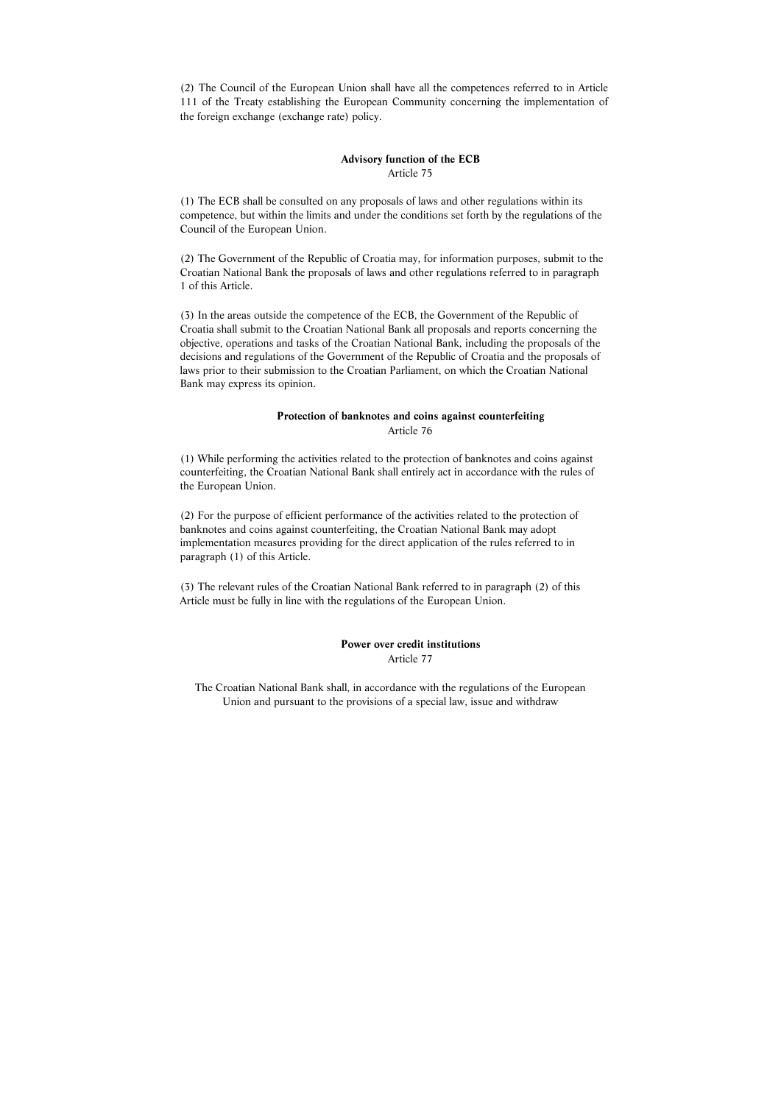(2) The Council of the European Union shall have all the competences referred to in Article 111 of the Treaty establishing the European Community concerning the implementation of the foreign exchange (exchange rate) policy.

#### **Advisory function of the ECB**  Article 75

(1) The ECB shall be consulted on any proposals of laws and other regulations within its competence, but within the limits and under the conditions set forth by the regulations of the Council of the European Union.

(2) The Government of the Republic of Croatia may, for information purposes, submit to the Croatian National Bank the proposals of laws and other regulations referred to in paragraph 1 of this Article.

(3) In the areas outside the competence of the ECB, the Government of the Republic of Croatia shall submit to the Croatian National Bank all proposals and reports concerning the objective, operations and tasks of the Croatian National Bank, including the proposals of the decisions and regulations of the Government of the Republic of Croatia and the proposals of laws prior to their submission to the Croatian Parliament, on which the Croatian National Bank may express its opinion.

#### **Protection of banknotes and coins against counterfeiting**  Article 76

(1) While performing the activities related to the protection of banknotes and coins against counterfeiting, the Croatian National Bank shall entirely act in accordance with the rules of the European Union.

(2) For the purpose of efficient performance of the activities related to the protection of banknotes and coins against counterfeiting, the Croatian National Bank may adopt implementation measures providing for the direct application of the rules referred to in paragraph (1) of this Article.

(3) The relevant rules of the Croatian National Bank referred to in paragraph (2) of this Article must be fully in line with the regulations of the European Union.

> **Power over credit institutions**  Article 77

The Croatian National Bank shall, in accordance with the regulations of the European Union and pursuant to the provisions of a special law, issue and withdraw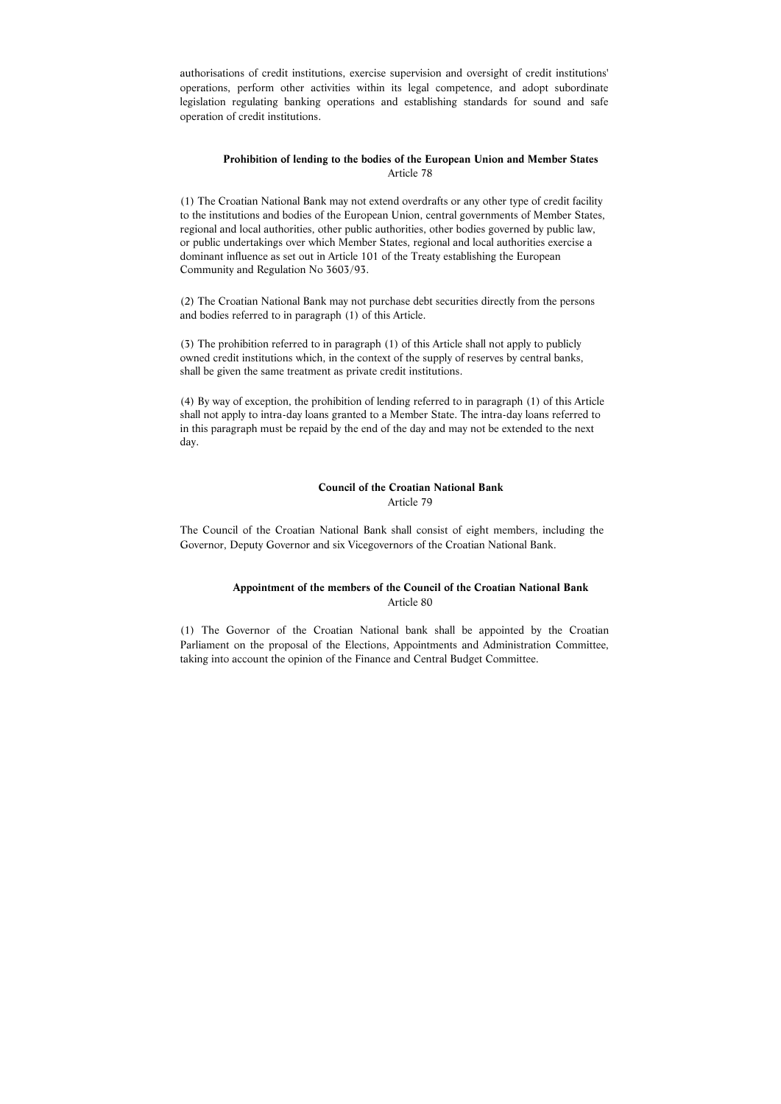authorisations of credit institutions, exercise supervision and oversight of credit institutions' operations, perform other activities within its legal competence, and adopt subordinate legislation regulating banking operations and establishing standards for sound and safe operation of credit institutions.

## **Prohibition of lending to the bodies of the European Union and Member States**  Article 78

(1) The Croatian National Bank may not extend overdrafts or any other type of credit facility to the institutions and bodies of the European Union, central governments of Member States, regional and local authorities, other public authorities, other bodies governed by public law, or public undertakings over which Member States, regional and local authorities exercise a dominant influence as set out in Article 101 of the Treaty establishing the European Community and Regulation No 3603/93.

(2) The Croatian National Bank may not purchase debt securities directly from the persons and bodies referred to in paragraph (1) of this Article.

(3) The prohibition referred to in paragraph (1) of this Article shall not apply to publicly owned credit institutions which, in the context of the supply of reserves by central banks, shall be given the same treatment as private credit institutions.

(4) By way of exception, the prohibition of lending referred to in paragraph (1) of this Article shall not apply to intra-day loans granted to a Member State. The intra-day loans referred to in this paragraph must be repaid by the end of the day and may not be extended to the next day.

#### **Council of the Croatian National Bank**  Article 79

The Council of the Croatian National Bank shall consist of eight members, including the Governor, Deputy Governor and six Vicegovernors of the Croatian National Bank.

# **Appointment of the members of the Council of the Croatian National Bank**  Article 80

(1) The Governor of the Croatian National bank shall be appointed by the Croatian Parliament on the proposal of the Elections, Appointments and Administration Committee, taking into account the opinion of the Finance and Central Budget Committee.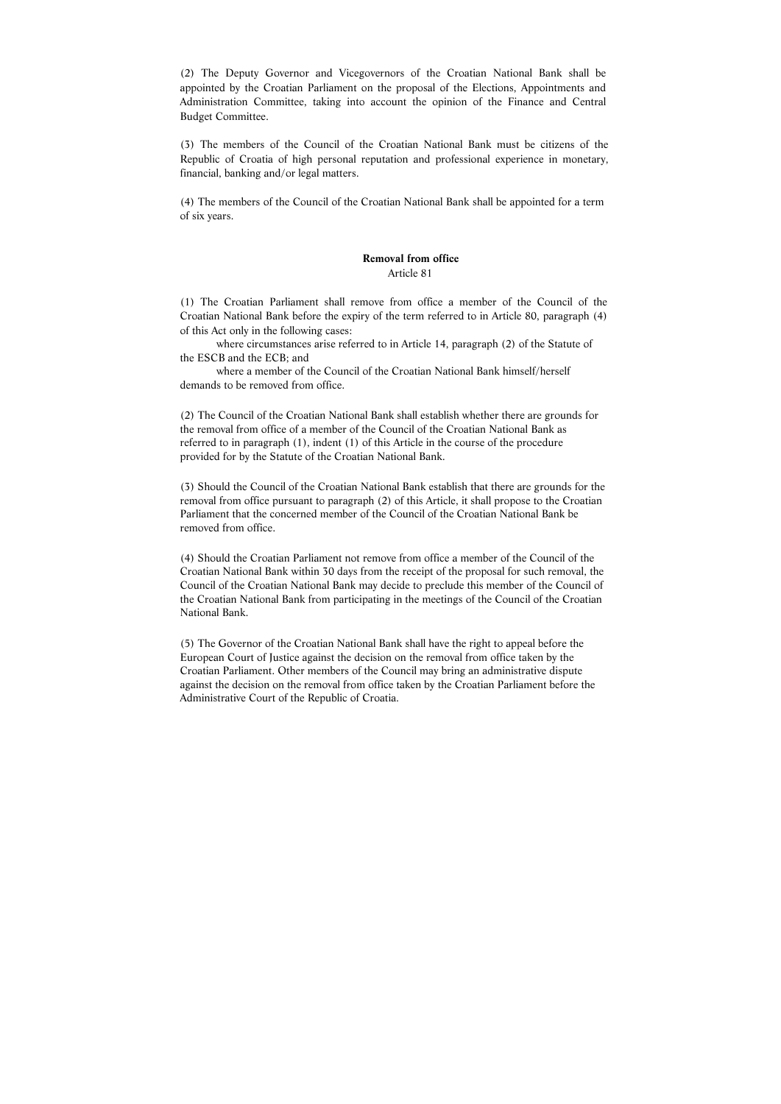(2) The Deputy Governor and Vicegovernors of the Croatian National Bank shall be appointed by the Croatian Parliament on the proposal of the Elections, Appointments and Administration Committee, taking into account the opinion of the Finance and Central Budget Committee.

(3) The members of the Council of the Croatian National Bank must be citizens of the Republic of Croatia of high personal reputation and professional experience in monetary, financial, banking and/or legal matters.

(4) The members of the Council of the Croatian National Bank shall be appointed for a term of six years.

#### **Removal from office**  Article 81

(1) The Croatian Parliament shall remove from office a member of the Council of the Croatian National Bank before the expiry of the term referred to in Article 80, paragraph (4) of this Act only in the following cases:

 where circumstances arise referred to in Article 14, paragraph (2) of the Statute of the ESCB and the ECB; and

 where a member of the Council of the Croatian National Bank himself/herself demands to be removed from office.

(2) The Council of the Croatian National Bank shall establish whether there are grounds for the removal from office of a member of the Council of the Croatian National Bank as referred to in paragraph (1), indent (1) of this Article in the course of the procedure provided for by the Statute of the Croatian National Bank.

(3) Should the Council of the Croatian National Bank establish that there are grounds for the removal from office pursuant to paragraph (2) of this Article, it shall propose to the Croatian Parliament that the concerned member of the Council of the Croatian National Bank be removed from office.

(4) Should the Croatian Parliament not remove from office a member of the Council of the Croatian National Bank within 30 days from the receipt of the proposal for such removal, the Council of the Croatian National Bank may decide to preclude this member of the Council of the Croatian National Bank from participating in the meetings of the Council of the Croatian National Bank.

(5) The Governor of the Croatian National Bank shall have the right to appeal before the European Court of Justice against the decision on the removal from office taken by the Croatian Parliament. Other members of the Council may bring an administrative dispute against the decision on the removal from office taken by the Croatian Parliament before the Administrative Court of the Republic of Croatia.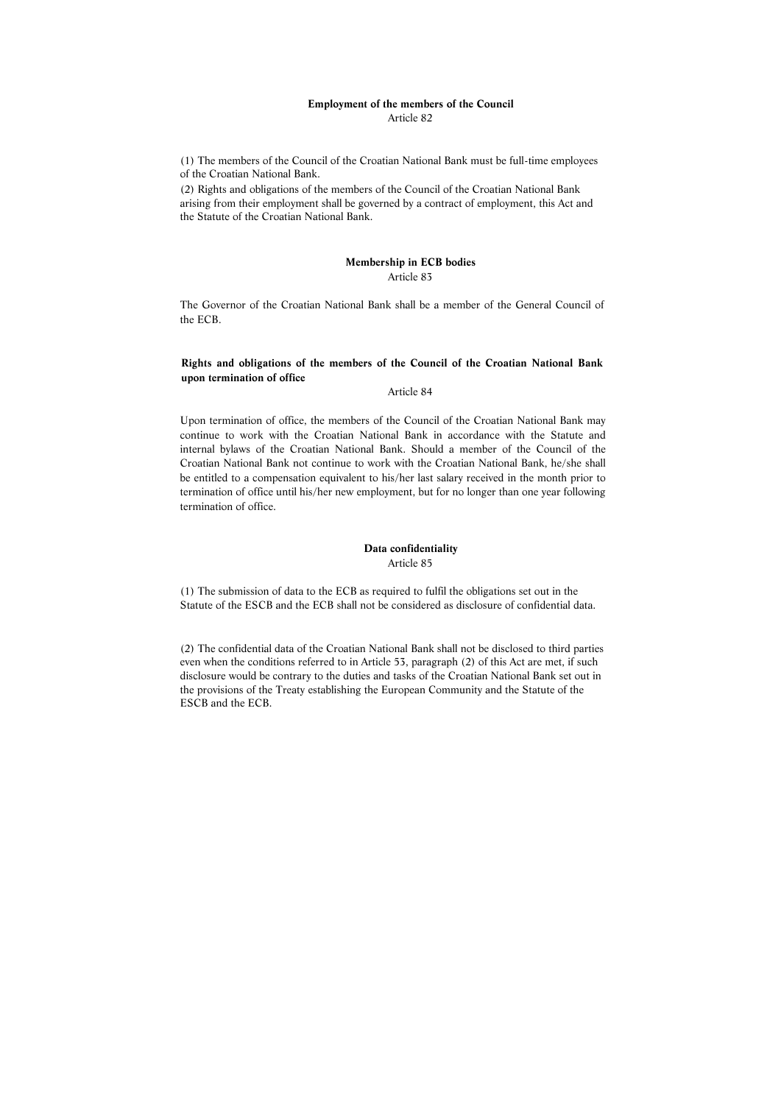#### **Employment of the members of the Council**  Article 82

(1) The members of the Council of the Croatian National Bank must be full-time employees of the Croatian National Bank.

(2) Rights and obligations of the members of the Council of the Croatian National Bank arising from their employment shall be governed by a contract of employment, this Act and the Statute of the Croatian National Bank.

# **Membership in ECB bodies**  Article 83

The Governor of the Croatian National Bank shall be a member of the General Council of the ECB.

# **Rights and obligations of the members of the Council of the Croatian National Bank upon termination of office**

#### Article 84

Upon termination of office, the members of the Council of the Croatian National Bank may continue to work with the Croatian National Bank in accordance with the Statute and internal bylaws of the Croatian National Bank. Should a member of the Council of the Croatian National Bank not continue to work with the Croatian National Bank, he/she shall be entitled to a compensation equivalent to his/her last salary received in the month prior to termination of office until his/her new employment, but for no longer than one year following termination of office.

### **Data confidentiality**  Article 85

(1) The submission of data to the ECB as required to fulfil the obligations set out in the Statute of the ESCB and the ECB shall not be considered as disclosure of confidential data.

(2) The confidential data of the Croatian National Bank shall not be disclosed to third parties even when the conditions referred to in Article 53, paragraph (2) of this Act are met, if such disclosure would be contrary to the duties and tasks of the Croatian National Bank set out in the provisions of the Treaty establishing the European Community and the Statute of the ESCB and the ECB.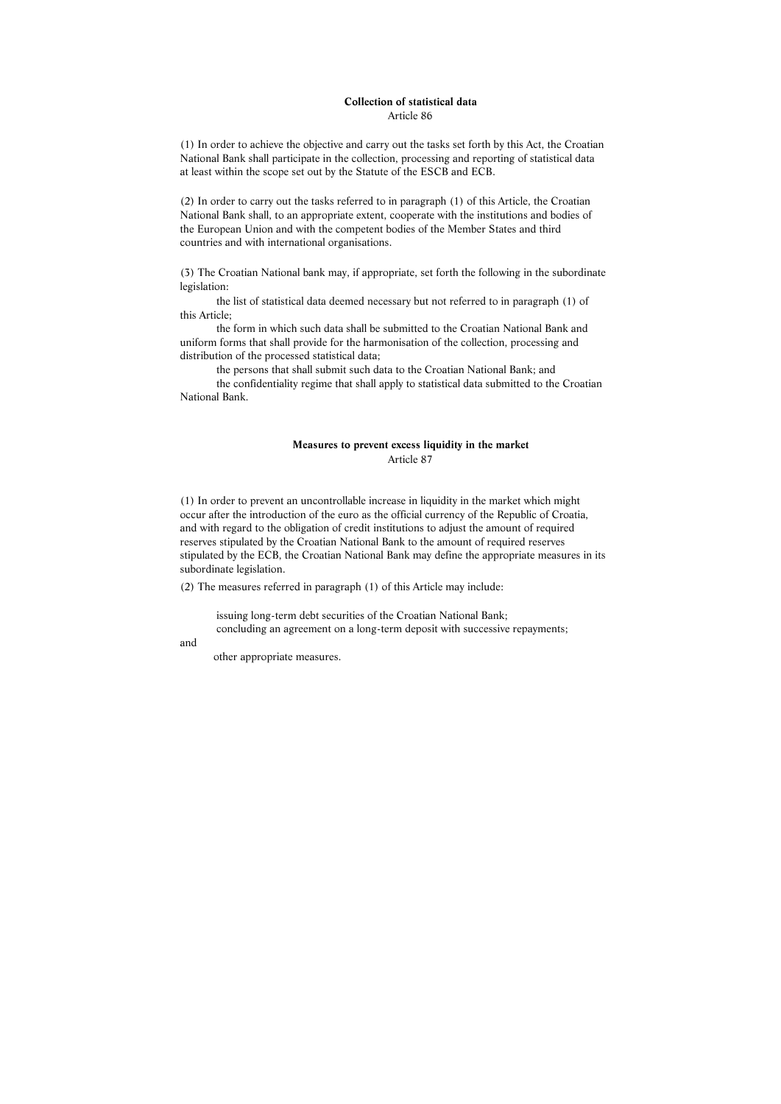#### **Collection of statistical data**  Article 86

(1) In order to achieve the objective and carry out the tasks set forth by this Act, the Croatian National Bank shall participate in the collection, processing and reporting of statistical data at least within the scope set out by the Statute of the ESCB and ECB.

(2) In order to carry out the tasks referred to in paragraph (1) of this Article, the Croatian National Bank shall, to an appropriate extent, cooperate with the institutions and bodies of the European Union and with the competent bodies of the Member States and third countries and with international organisations.

(3) The Croatian National bank may, if appropriate, set forth the following in the subordinate legislation:

 the list of statistical data deemed necessary but not referred to in paragraph (1) of this Article;

 the form in which such data shall be submitted to the Croatian National Bank and uniform forms that shall provide for the harmonisation of the collection, processing and distribution of the processed statistical data;

the persons that shall submit such data to the Croatian National Bank; and

 the confidentiality regime that shall apply to statistical data submitted to the Croatian National Bank.

# **Measures to prevent excess liquidity in the market**  Article 87

(1) In order to prevent an uncontrollable increase in liquidity in the market which might occur after the introduction of the euro as the official currency of the Republic of Croatia, and with regard to the obligation of credit institutions to adjust the amount of required reserves stipulated by the Croatian National Bank to the amount of required reserves stipulated by the ECB, the Croatian National Bank may define the appropriate measures in its subordinate legislation.

(2) The measures referred in paragraph (1) of this Article may include:

 issuing long-term debt securities of the Croatian National Bank; concluding an agreement on a long-term deposit with successive repayments;

and

other appropriate measures.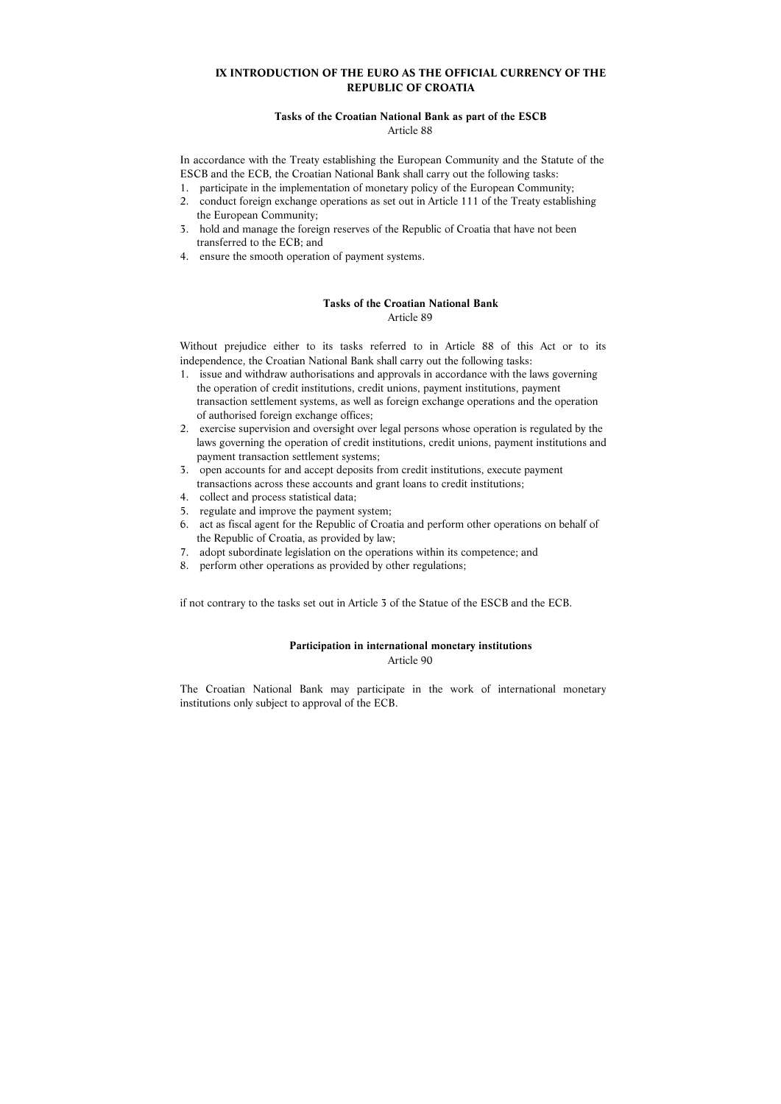# **IX INTRODUCTION OF THE EURO AS THE OFFICIAL CURRENCY OF THE REPUBLIC OF CROATIA**

#### **Tasks of the Croatian National Bank as part of the ESCB**  Article 88

In accordance with the Treaty establishing the European Community and the Statute of the ESCB and the ECB, the Croatian National Bank shall carry out the following tasks:

- 1. participate in the implementation of monetary policy of the European Community;
- 2. conduct foreign exchange operations as set out in Article 111 of the Treaty establishing the European Community;
- 3. hold and manage the foreign reserves of the Republic of Croatia that have not been transferred to the ECB; and
- 4. ensure the smooth operation of payment systems.

# **Tasks of the Croatian National Bank**  Article 89

Without prejudice either to its tasks referred to in Article 88 of this Act or to its independence, the Croatian National Bank shall carry out the following tasks:

- 1. issue and withdraw authorisations and approvals in accordance with the laws governing the operation of credit institutions, credit unions, payment institutions, payment transaction settlement systems, as well as foreign exchange operations and the operation of authorised foreign exchange offices;
- 2. exercise supervision and oversight over legal persons whose operation is regulated by the laws governing the operation of credit institutions, credit unions, payment institutions and payment transaction settlement systems;
- 3. open accounts for and accept deposits from credit institutions, execute payment transactions across these accounts and grant loans to credit institutions;
- 4. collect and process statistical data;
- 5. regulate and improve the payment system;
- 6. act as fiscal agent for the Republic of Croatia and perform other operations on behalf of the Republic of Croatia, as provided by law;
- 7. adopt subordinate legislation on the operations within its competence; and
- 8. perform other operations as provided by other regulations;

if not contrary to the tasks set out in Article 3 of the Statue of the ESCB and the ECB.

# **Participation in international monetary institutions**

Article 90

The Croatian National Bank may participate in the work of international monetary institutions only subject to approval of the ECB.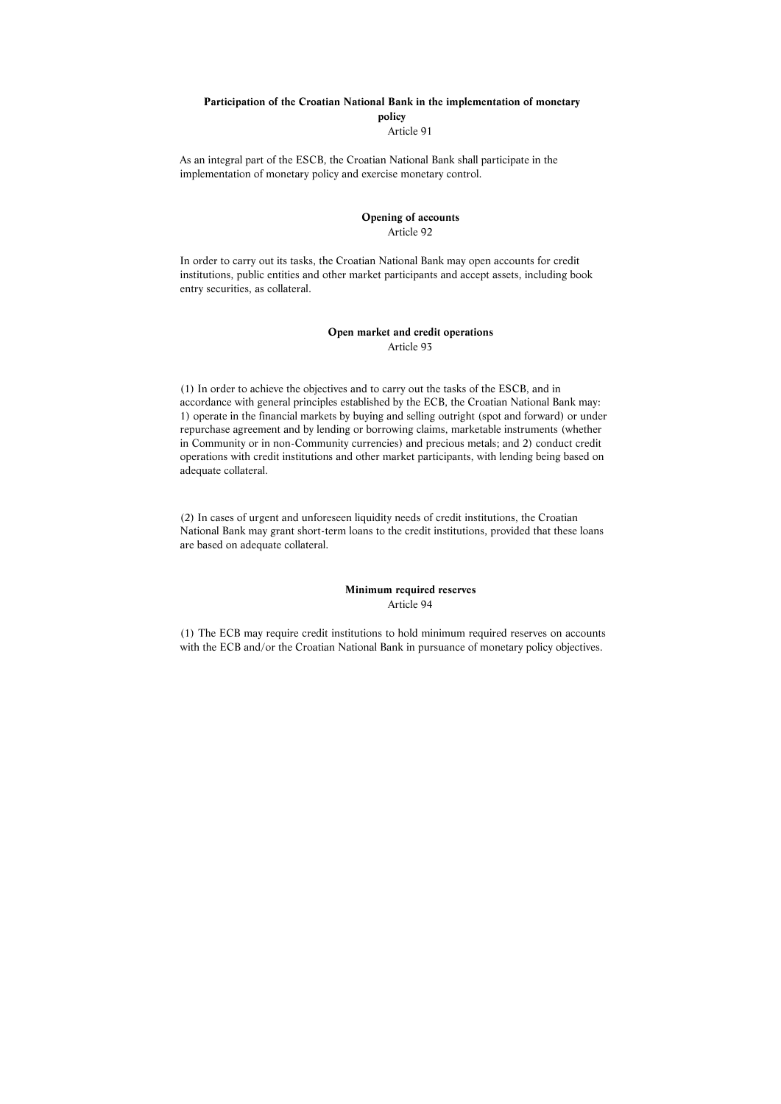# **Participation of the Croatian National Bank in the implementation of monetary policy**  Article 91

As an integral part of the ESCB, the Croatian National Bank shall participate in the implementation of monetary policy and exercise monetary control.

# **Opening of accounts**  Article 92

In order to carry out its tasks, the Croatian National Bank may open accounts for credit institutions, public entities and other market participants and accept assets, including book entry securities, as collateral.

#### **Open market and credit operations**  Article 93

(1) In order to achieve the objectives and to carry out the tasks of the ESCB, and in accordance with general principles established by the ECB, the Croatian National Bank may: 1) operate in the financial markets by buying and selling outright (spot and forward) or under repurchase agreement and by lending or borrowing claims, marketable instruments (whether in Community or in non-Community currencies) and precious metals; and 2) conduct credit operations with credit institutions and other market participants, with lending being based on adequate collateral.

(2) In cases of urgent and unforeseen liquidity needs of credit institutions, the Croatian National Bank may grant short-term loans to the credit institutions, provided that these loans are based on adequate collateral.

#### **Minimum required reserves**  Article 94

(1) The ECB may require credit institutions to hold minimum required reserves on accounts with the ECB and/or the Croatian National Bank in pursuance of monetary policy objectives.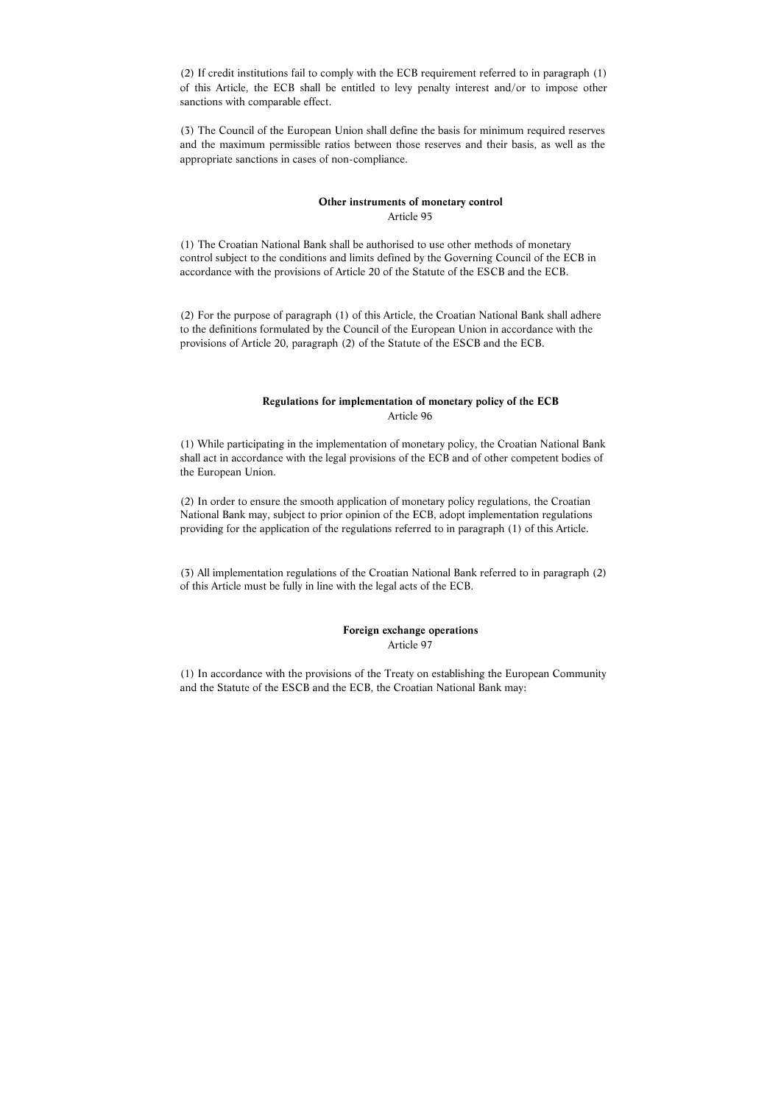(2) If credit institutions fail to comply with the ECB requirement referred to in paragraph (1) of this Article, the ECB shall be entitled to levy penalty interest and/or to impose other sanctions with comparable effect.

(3) The Council of the European Union shall define the basis for minimum required reserves and the maximum permissible ratios between those reserves and their basis, as well as the appropriate sanctions in cases of non-compliance.

# **Other instruments of monetary control**

Article 95

(1) The Croatian National Bank shall be authorised to use other methods of monetary control subject to the conditions and limits defined by the Governing Council of the ECB in accordance with the provisions of Article 20 of the Statute of the ESCB and the ECB.

(2) For the purpose of paragraph (1) of this Article, the Croatian National Bank shall adhere to the definitions formulated by the Council of the European Union in accordance with the provisions of Article 20, paragraph (2) of the Statute of the ESCB and the ECB.

### **Regulations for implementation of monetary policy of the ECB**  Article 96

(1) While participating in the implementation of monetary policy, the Croatian National Bank shall act in accordance with the legal provisions of the ECB and of other competent bodies of the European Union.

(2) In order to ensure the smooth application of monetary policy regulations, the Croatian National Bank may, subject to prior opinion of the ECB, adopt implementation regulations providing for the application of the regulations referred to in paragraph (1) of this Article.

(3) All implementation regulations of the Croatian National Bank referred to in paragraph (2) of this Article must be fully in line with the legal acts of the ECB.

## **Foreign exchange operations**  Article 97

(1) In accordance with the provisions of the Treaty on establishing the European Community and the Statute of the ESCB and the ECB, the Croatian National Bank may: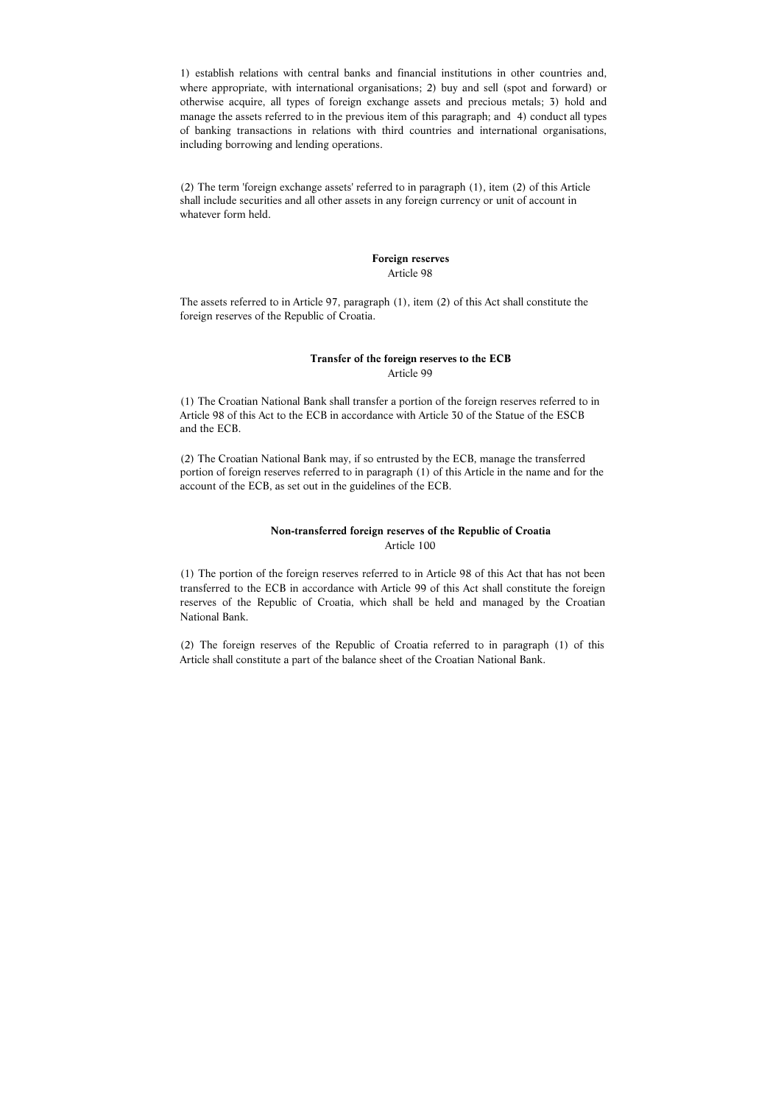1) establish relations with central banks and financial institutions in other countries and, where appropriate, with international organisations; 2) buy and sell (spot and forward) or otherwise acquire, all types of foreign exchange assets and precious metals; 3) hold and manage the assets referred to in the previous item of this paragraph; and 4) conduct all types of banking transactions in relations with third countries and international organisations, including borrowing and lending operations.

(2) The term 'foreign exchange assets' referred to in paragraph (1), item (2) of this Article shall include securities and all other assets in any foreign currency or unit of account in whatever form held.

#### **Foreign reserves**  Article 98

The assets referred to in Article 97, paragraph (1), item (2) of this Act shall constitute the foreign reserves of the Republic of Croatia.

#### **Transfer of the foreign reserves to the ECB**  Article 99

(1) The Croatian National Bank shall transfer a portion of the foreign reserves referred to in Article 98 of this Act to the ECB in accordance with Article 30 of the Statue of the ESCB and the ECB.

(2) The Croatian National Bank may, if so entrusted by the ECB, manage the transferred portion of foreign reserves referred to in paragraph (1) of this Article in the name and for the account of the ECB, as set out in the guidelines of the ECB.

## **Non-transferred foreign reserves of the Republic of Croatia**  Article 100

(1) The portion of the foreign reserves referred to in Article 98 of this Act that has not been transferred to the ECB in accordance with Article 99 of this Act shall constitute the foreign reserves of the Republic of Croatia, which shall be held and managed by the Croatian National Bank.

(2) The foreign reserves of the Republic of Croatia referred to in paragraph (1) of this Article shall constitute a part of the balance sheet of the Croatian National Bank.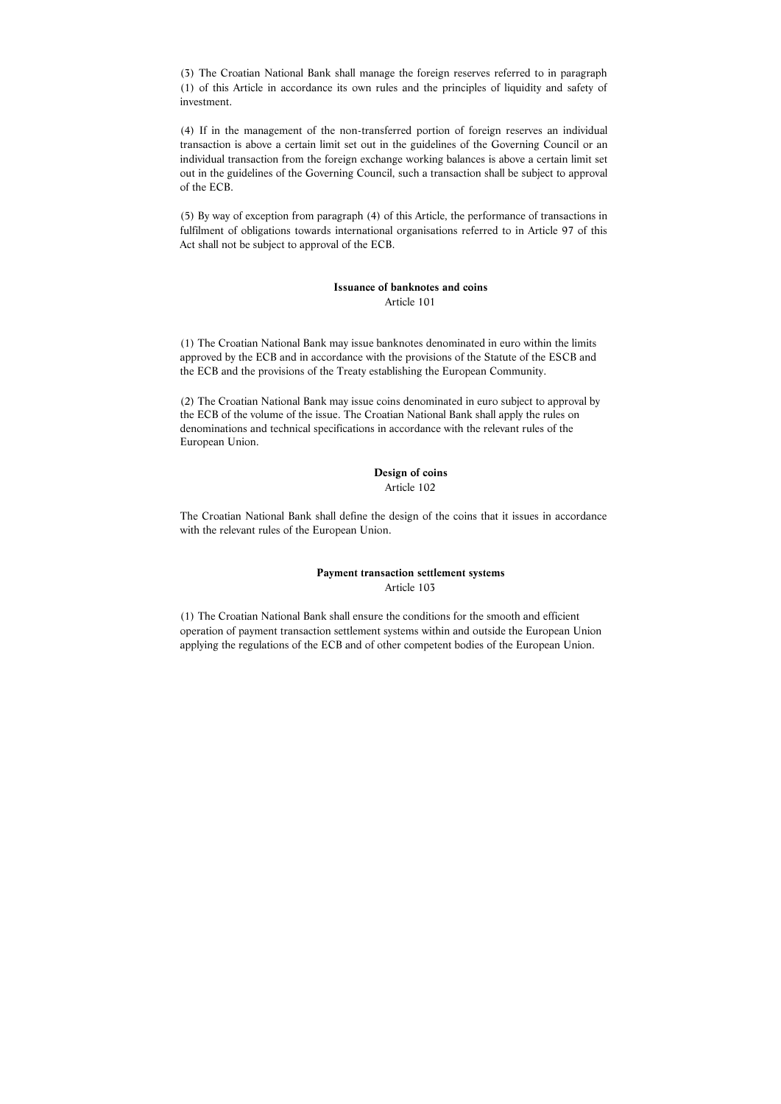(3) The Croatian National Bank shall manage the foreign reserves referred to in paragraph (1) of this Article in accordance its own rules and the principles of liquidity and safety of investment.

(4) If in the management of the non-transferred portion of foreign reserves an individual transaction is above a certain limit set out in the guidelines of the Governing Council or an individual transaction from the foreign exchange working balances is above a certain limit set out in the guidelines of the Governing Council, such a transaction shall be subject to approval of the ECB.

(5) By way of exception from paragraph (4) of this Article, the performance of transactions in fulfilment of obligations towards international organisations referred to in Article 97 of this Act shall not be subject to approval of the ECB.

# **Issuance of banknotes and coins**  Article 101

(1) The Croatian National Bank may issue banknotes denominated in euro within the limits approved by the ECB and in accordance with the provisions of the Statute of the ESCB and the ECB and the provisions of the Treaty establishing the European Community.

(2) The Croatian National Bank may issue coins denominated in euro subject to approval by the ECB of the volume of the issue. The Croatian National Bank shall apply the rules on denominations and technical specifications in accordance with the relevant rules of the European Union.

#### **Design of coins**

#### Article 102

The Croatian National Bank shall define the design of the coins that it issues in accordance with the relevant rules of the European Union.

# **Payment transaction settlement systems**  Article 103

(1) The Croatian National Bank shall ensure the conditions for the smooth and efficient operation of payment transaction settlement systems within and outside the European Union applying the regulations of the ECB and of other competent bodies of the European Union.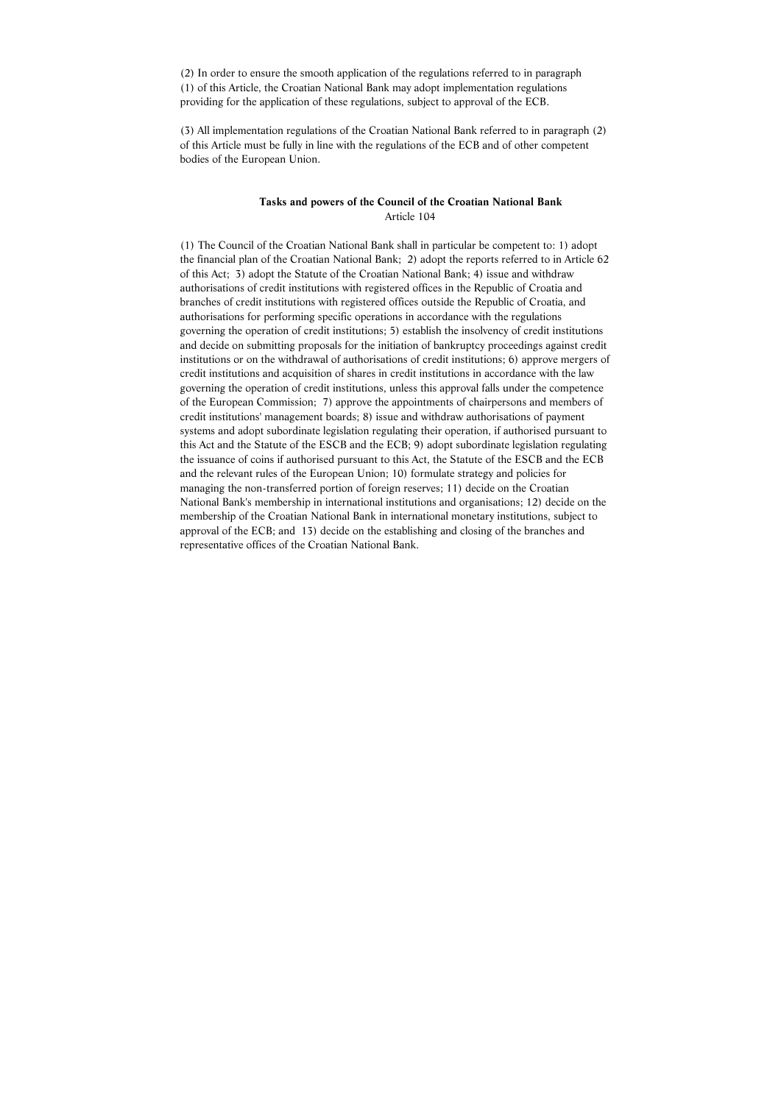(2) In order to ensure the smooth application of the regulations referred to in paragraph (1) of this Article, the Croatian National Bank may adopt implementation regulations providing for the application of these regulations, subject to approval of the ECB.

(3) All implementation regulations of the Croatian National Bank referred to in paragraph (2) of this Article must be fully in line with the regulations of the ECB and of other competent bodies of the European Union.

# **Tasks and powers of the Council of the Croatian National Bank**  Article 104

(1) The Council of the Croatian National Bank shall in particular be competent to: 1) adopt the financial plan of the Croatian National Bank; 2) adopt the reports referred to in Article 62 of this Act; 3) adopt the Statute of the Croatian National Bank; 4) issue and withdraw authorisations of credit institutions with registered offices in the Republic of Croatia and branches of credit institutions with registered offices outside the Republic of Croatia, and authorisations for performing specific operations in accordance with the regulations governing the operation of credit institutions; 5) establish the insolvency of credit institutions and decide on submitting proposals for the initiation of bankruptcy proceedings against credit institutions or on the withdrawal of authorisations of credit institutions; 6) approve mergers of credit institutions and acquisition of shares in credit institutions in accordance with the law governing the operation of credit institutions, unless this approval falls under the competence of the European Commission; 7) approve the appointments of chairpersons and members of credit institutions' management boards; 8) issue and withdraw authorisations of payment systems and adopt subordinate legislation regulating their operation, if authorised pursuant to this Act and the Statute of the ESCB and the ECB; 9) adopt subordinate legislation regulating the issuance of coins if authorised pursuant to this Act, the Statute of the ESCB and the ECB and the relevant rules of the European Union; 10) formulate strategy and policies for managing the non-transferred portion of foreign reserves; 11) decide on the Croatian National Bank's membership in international institutions and organisations; 12) decide on the membership of the Croatian National Bank in international monetary institutions, subject to approval of the ECB; and 13) decide on the establishing and closing of the branches and representative offices of the Croatian National Bank.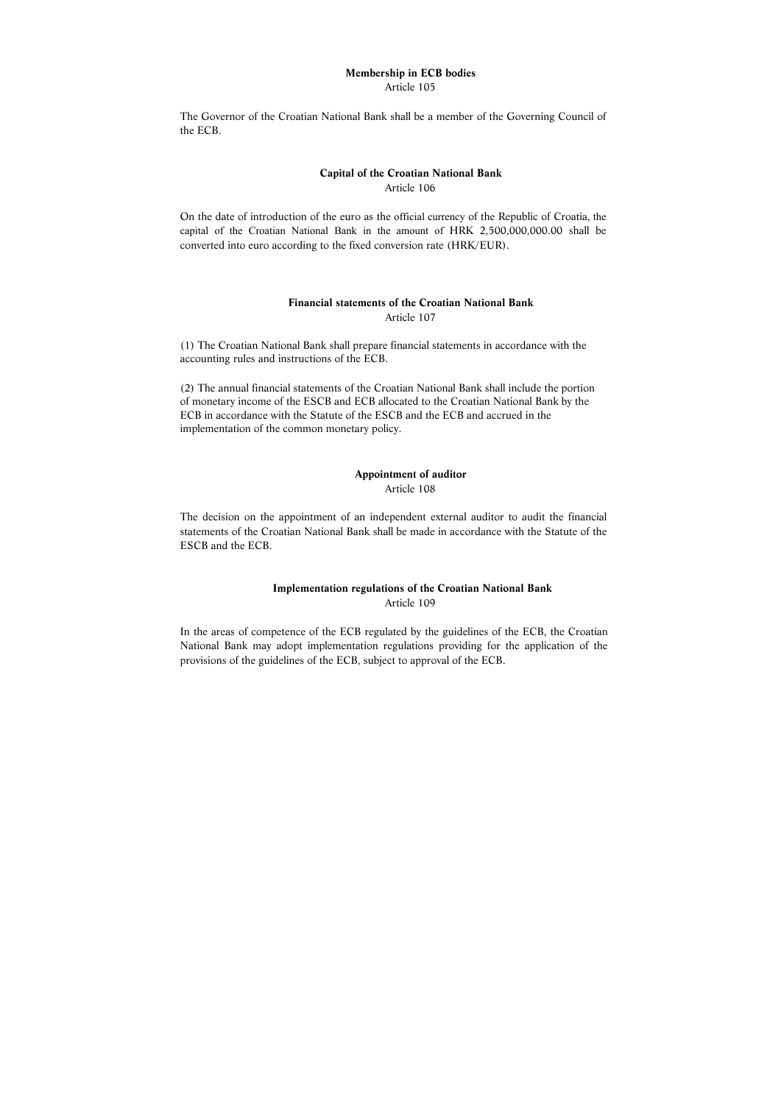#### **Membership in ECB bodies**  Article 105

The Governor of the Croatian National Bank shall be a member of the Governing Council of the ECB.

### **Capital of the Croatian National Bank**  Article 106

On the date of introduction of the euro as the official currency of the Republic of Croatia, the capital of the Croatian National Bank in the amount of HRK 2,500,000,000.00 shall be converted into euro according to the fixed conversion rate (HRK/EUR).

# **Financial statements of the Croatian National Bank**  Article 107

(1) The Croatian National Bank shall prepare financial statements in accordance with the accounting rules and instructions of the ECB.

(2) The annual financial statements of the Croatian National Bank shall include the portion of monetary income of the ESCB and ECB allocated to the Croatian National Bank by the ECB in accordance with the Statute of the ESCB and the ECB and accrued in the implementation of the common monetary policy.

# **Appointment of auditor**

Article 108

The decision on the appointment of an independent external auditor to audit the financial statements of the Croatian National Bank shall be made in accordance with the Statute of the ESCB and the ECB.

# **Implementation regulations of the Croatian National Bank**  Article 109

In the areas of competence of the ECB regulated by the guidelines of the ECB, the Croatian National Bank may adopt implementation regulations providing for the application of the provisions of the guidelines of the ECB, subject to approval of the ECB.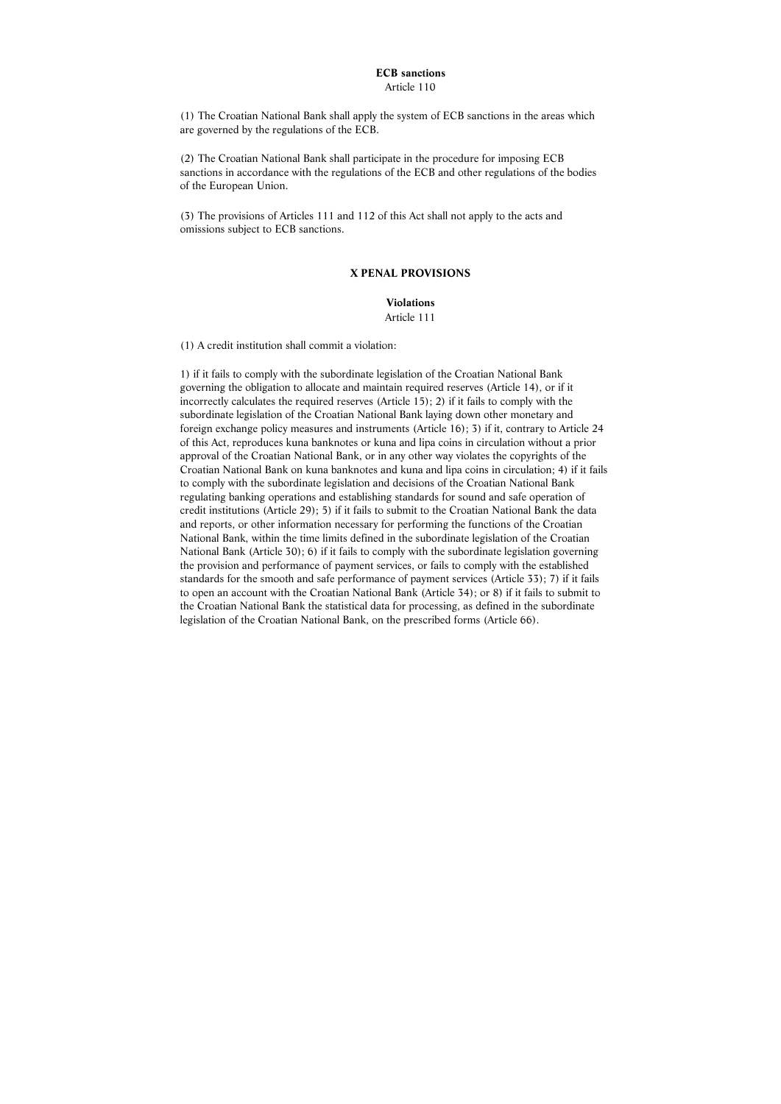# **ECB sanctions**

Article 110

(1) The Croatian National Bank shall apply the system of ECB sanctions in the areas which are governed by the regulations of the ECB.

(2) The Croatian National Bank shall participate in the procedure for imposing ECB sanctions in accordance with the regulations of the ECB and other regulations of the bodies of the European Union.

(3) The provisions of Articles 111 and 112 of this Act shall not apply to the acts and omissions subject to ECB sanctions.

#### **X PENAL PROVISIONS**

**Violations**  Article 111

(1) A credit institution shall commit a violation:

1) if it fails to comply with the subordinate legislation of the Croatian National Bank governing the obligation to allocate and maintain required reserves (Article 14), or if it incorrectly calculates the required reserves (Article 15); 2) if it fails to comply with the subordinate legislation of the Croatian National Bank laying down other monetary and foreign exchange policy measures and instruments (Article 16); 3) if it, contrary to Article 24 of this Act, reproduces kuna banknotes or kuna and lipa coins in circulation without a prior approval of the Croatian National Bank, or in any other way violates the copyrights of the Croatian National Bank on kuna banknotes and kuna and lipa coins in circulation; 4) if it fails to comply with the subordinate legislation and decisions of the Croatian National Bank regulating banking operations and establishing standards for sound and safe operation of credit institutions (Article 29); 5) if it fails to submit to the Croatian National Bank the data and reports, or other information necessary for performing the functions of the Croatian National Bank, within the time limits defined in the subordinate legislation of the Croatian National Bank (Article 30); 6) if it fails to comply with the subordinate legislation governing the provision and performance of payment services, or fails to comply with the established standards for the smooth and safe performance of payment services (Article 33); 7) if it fails to open an account with the Croatian National Bank (Article 34); or 8) if it fails to submit to the Croatian National Bank the statistical data for processing, as defined in the subordinate legislation of the Croatian National Bank, on the prescribed forms (Article 66).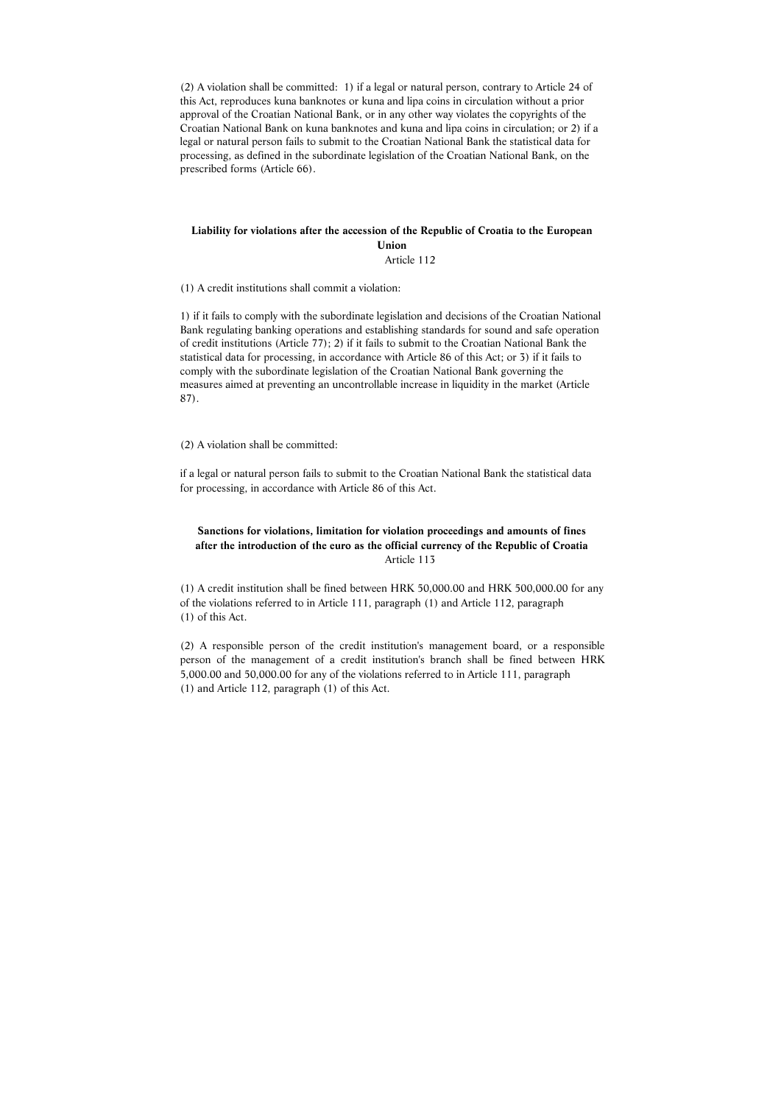(2) A violation shall be committed: 1) if a legal or natural person, contrary to Article 24 of this Act, reproduces kuna banknotes or kuna and lipa coins in circulation without a prior approval of the Croatian National Bank, or in any other way violates the copyrights of the Croatian National Bank on kuna banknotes and kuna and lipa coins in circulation; or 2) if a legal or natural person fails to submit to the Croatian National Bank the statistical data for processing, as defined in the subordinate legislation of the Croatian National Bank, on the prescribed forms (Article 66).

# **Liability for violations after the accession of the Republic of Croatia to the European Union**

Article 112

(1) A credit institutions shall commit a violation:

1) if it fails to comply with the subordinate legislation and decisions of the Croatian National Bank regulating banking operations and establishing standards for sound and safe operation of credit institutions (Article 77); 2) if it fails to submit to the Croatian National Bank the statistical data for processing, in accordance with Article 86 of this Act; or 3) if it fails to comply with the subordinate legislation of the Croatian National Bank governing the measures aimed at preventing an uncontrollable increase in liquidity in the market (Article 87).

(2) A violation shall be committed:

# **Sanctions for violations, limitation for violation proceedings and amounts of fines after the introduction of the euro as the official currency of the Republic of Croatia** Article 113

if a legal or natural person fails to submit to the Croatian National Bank the statistical data for processing, in accordance with Article 86 of this Act.

(1) A credit institution shall be fined between HRK 50,000.00 and HRK 500,000.00 for any of the violations referred to in Article 111, paragraph (1) and Article 112, paragraph (1) of this Act.

(2) A responsible person of the credit institution's management board, or a responsible person of the management of a credit institution's branch shall be fined between HRK 5,000.00 and 50,000.00 for any of the violations referred to in Article 111, paragraph (1) and Article 112, paragraph (1) of this Act.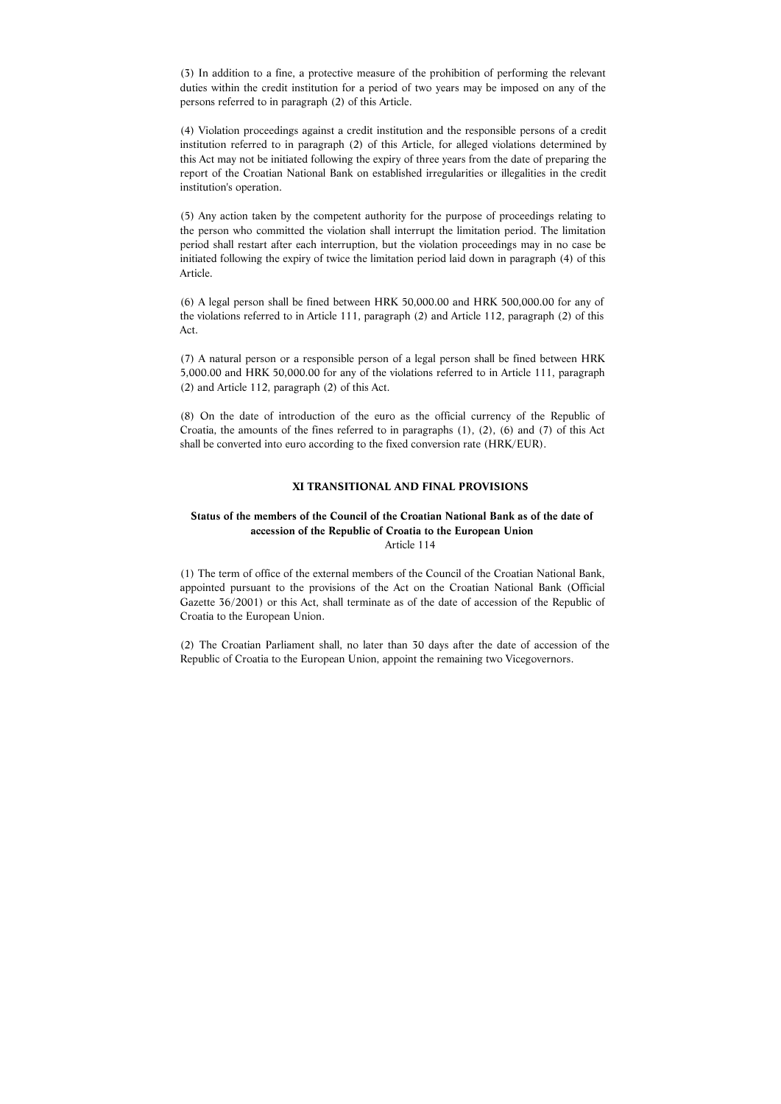(3) In addition to a fine, a protective measure of the prohibition of performing the relevant duties within the credit institution for a period of two years may be imposed on any of the persons referred to in paragraph (2) of this Article.

(4) Violation proceedings against a credit institution and the responsible persons of a credit institution referred to in paragraph (2) of this Article, for alleged violations determined by this Act may not be initiated following the expiry of three years from the date of preparing the report of the Croatian National Bank on established irregularities or illegalities in the credit institution's operation.

(5) Any action taken by the competent authority for the purpose of proceedings relating to the person who committed the violation shall interrupt the limitation period. The limitation period shall restart after each interruption, but the violation proceedings may in no case be initiated following the expiry of twice the limitation period laid down in paragraph (4) of this Article.

(6) A legal person shall be fined between HRK 50,000.00 and HRK 500,000.00 for any of the violations referred to in Article 111, paragraph (2) and Article 112, paragraph (2) of this Act.

(7) A natural person or a responsible person of a legal person shall be fined between HRK 5,000.00 and HRK 50,000.00 for any of the violations referred to in Article 111, paragraph (2) and Article 112, paragraph (2) of this Act.

(8) On the date of introduction of the euro as the official currency of the Republic of Croatia, the amounts of the fines referred to in paragraphs (1), (2), (6) and (7) of this Act shall be converted into euro according to the fixed conversion rate (HRK/EUR).

#### **XI TRANSITIONAL AND FINAL PROVISIONS**

# **Status of the members of the Council of the Croatian National Bank as of the date of accession of the Republic of Croatia to the European Union** Article 114

(1) The term of office of the external members of the Council of the Croatian National Bank, appointed pursuant to the provisions of the Act on the Croatian National Bank (Official Gazette 36/2001) or this Act, shall terminate as of the date of accession of the Republic of Croatia to the European Union.

(2) The Croatian Parliament shall, no later than 30 days after the date of accession of the Republic of Croatia to the European Union, appoint the remaining two Vicegovernors.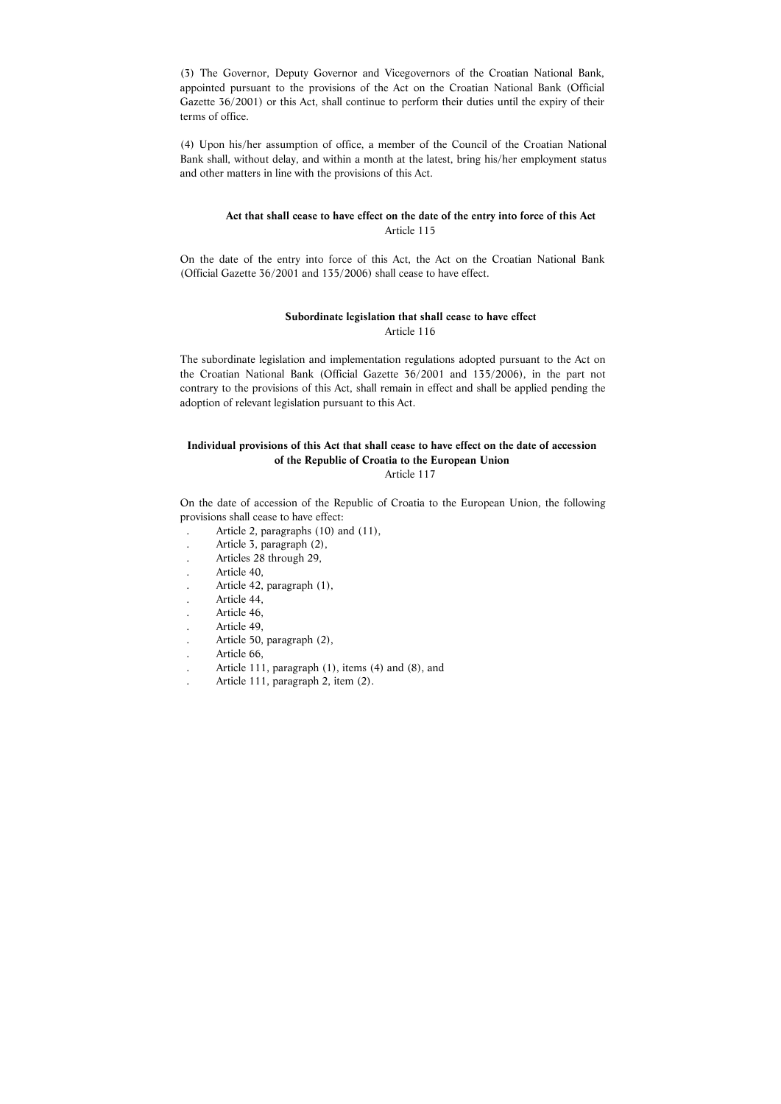(3) The Governor, Deputy Governor and Vicegovernors of the Croatian National Bank, appointed pursuant to the provisions of the Act on the Croatian National Bank (Official Gazette 36/2001) or this Act, shall continue to perform their duties until the expiry of their terms of office.

(4) Upon his/her assumption of office, a member of the Council of the Croatian National Bank shall, without delay, and within a month at the latest, bring his/her employment status and other matters in line with the provisions of this Act.

# **Act that shall cease to have effect on the date of the entry into force of this Act**  Article 115

On the date of the entry into force of this Act, the Act on the Croatian National Bank (Official Gazette 36/2001 and 135/2006) shall cease to have effect.

# **Subordinate legislation that shall cease to have effect** Article 116

The subordinate legislation and implementation regulations adopted pursuant to the Act on the Croatian National Bank (Official Gazette 36/2001 and 135/2006), in the part not contrary to the provisions of this Act, shall remain in effect and shall be applied pending the adoption of relevant legislation pursuant to this Act.

# **Individual provisions of this Act that shall cease to have effect on the date of accession of the Republic of Croatia to the European Union**

Article 117

On the date of accession of the Republic of Croatia to the European Union, the following provisions shall cease to have effect:

- . Article 2, paragraphs (10) and (11),
- . Article 3, paragraph (2),
- . Articles 28 through 29,
- . Article 40,
- . Article 42, paragraph (1),
- . Article 44,
- . Article 46,
- . Article 49,
- . Article 50, paragraph (2),
- . Article 66,
- . Article 111, paragraph (1), items (4) and (8), and
- . Article 111, paragraph 2, item (2).